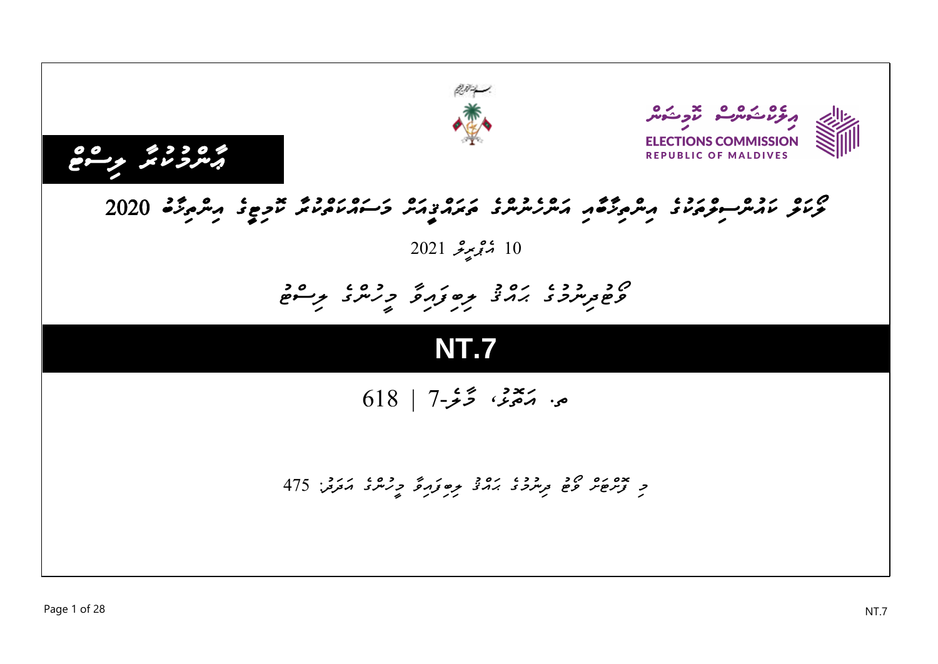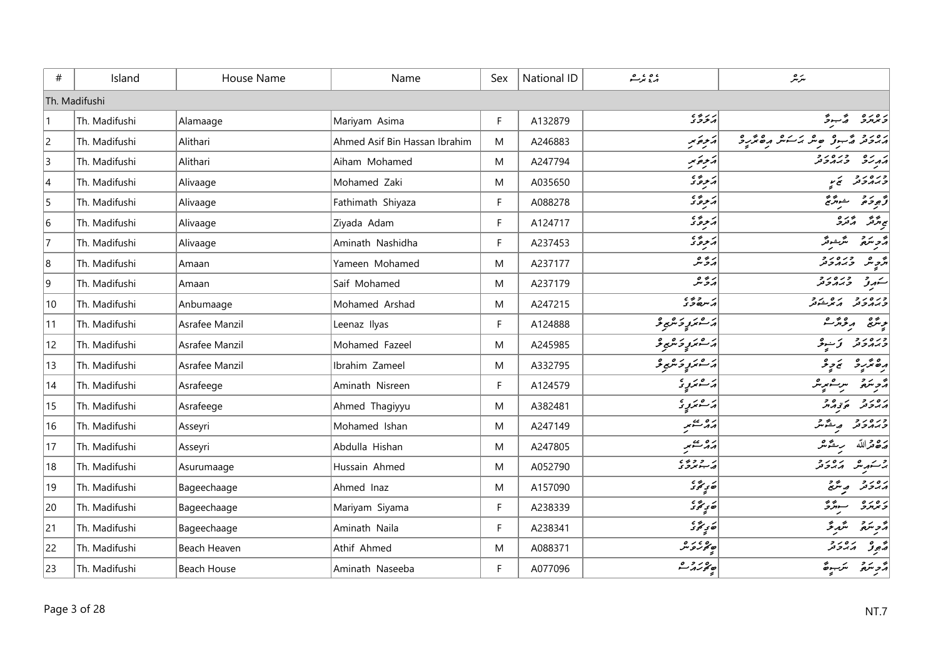| #              | Island        | House Name         | Name                          | Sex         | National ID | ، ه ، ره<br>د <u>،</u> برگ                                | ىئرىتر                                                                                               |
|----------------|---------------|--------------------|-------------------------------|-------------|-------------|-----------------------------------------------------------|------------------------------------------------------------------------------------------------------|
|                | Th. Madifushi |                    |                               |             |             |                                                           |                                                                                                      |
|                | Th. Madifushi | Alamaage           | Mariyam Asima                 | $\mathsf F$ | A132879     | برژی                                                      | و ده ده و په و                                                                                       |
| $\overline{c}$ | Th. Madifushi | Alithari           | Ahmed Asif Bin Hassan Ibrahim | M           | A246883     | لأحرهوسر                                                  | ره دو د سوو هنگر برگش مهنگردی                                                                        |
| $\overline{3}$ | Th. Madifushi | Alithari           | Aiham Mohamed                 | M           | A247794     | وكمعرضة                                                   | ג גם בגםגב                                                                                           |
| 4              | Th. Madifushi | Alivaage           | Mohamed Zaki                  | M           | A035650     | پر وي                                                     | Crece 34                                                                                             |
| 5              | Th. Madifushi | Alivaage           | Fathimath Shiyaza             | F           | A088278     | پر وي                                                     | توجوحهم خواريخ                                                                                       |
| $\,$ 6 $\,$    | Th. Madifushi | Alivaage           | Ziyada Adam                   | $\mathsf F$ | A124717     | پر وي                                                     | ى ئىر ئىز ئىز ئىلگى ئىلگى ئىلگى ئىلگى ئىلگى ئىلگى ئىلگى ئىلگى ئىلگى ئىلگى ئىلگى ئىلگى ئىلگى ئىلگى ئى |
| $\overline{7}$ | Th. Madifushi | Alivaage           | Aminath Nashidha              | F           | A237453     | پەنچەتى                                                   | أدويتم الترجون                                                                                       |
| 8              | Th. Madifushi | Amaan              | Yameen Mohamed                | ${\sf M}$   | A237177     | بر په ه                                                   |                                                                                                      |
| 9              | Th. Madifushi | Amaan              | Saif Mohamed                  | ${\sf M}$   | A237179     | برومر                                                     | سكهر وره دو                                                                                          |
| $10$           | Th. Madifushi | Anbumaage          | Mohamed Arshad                | ${\sf M}$   | A247215     | ر روپر د<br>مست                                           | ورەرو رەردو<br><mark>ورەر</mark> ونس <mark>م</mark> ەترىشەتر                                         |
| 11             | Th. Madifushi | Asrafee Manzil     | Leenaz Ilyas                  | F           | A124888     | ە سەنىرى <sub>رى</sub> ئەش <sub>ە</sub> ئە                | ويترج مرفرشة                                                                                         |
| 12             | Th. Madifushi | Asrafee Manzil     | Mohamed Fazeel                | ${\sf M}$   | A245985     | ۇ س <sup>و</sup> بىرى <sub>رى</sub> ئەش <sub>بىر</sub> ئە | ورەرو تەنبى                                                                                          |
| 13             | Th. Madifushi | Asrafee Manzil     | Ibrahim Zameel                | ${\sf M}$   | A332795     | ۇ س <sup>و</sup> بىرى <sub>رى</sub> ئەش <sub>بىر</sub> ئە |                                                                                                      |
| 14             | Th. Madifushi | Asrafeege          | Aminath Nisreen               | F           | A124579     | ىر شەنىزى <sub>ر</sub> ئ                                  | أأديكم الراعيان                                                                                      |
| 15             | Th. Madifushi | Asrafeege          | Ahmed Thagiyyu                | ${\sf M}$   | A382481     | ىز س <sup>9</sup> ىئرى <sub>ۋى</sub> ر                    | גפני גבית                                                                                            |
| 16             | Th. Madifushi | Asseyri            | Mohamed Ishan                 | M           | A247149     | لئەھرىئىمىر                                               | ورەرو ھىقىر                                                                                          |
| 17             | Th. Madifushi | Asseyri            | Abdulla Hishan                | M           | A247805     | لئەۋرىئىمىر                                               | أرةقرالله سيشمر                                                                                      |
| 18             | Th. Madifushi | Asurumaage         | Hussain Ahmed                 | M           | A052790     | ر و و پر د<br>پرسومرو د                                   | ج سکه شهر از مهر در د                                                                                |
| 19             | Th. Madifushi | Bageechaage        | Ahmed Inaz                    | M           | A157090     | ے پر پڑی<br> ص پ <sub>ر</sub> پڑی                         | رەرو ھىگى                                                                                            |
| 20             | Th. Madifushi | Bageechaage        | Mariyam Siyama                | F           | A238339     | <br> حوي گوي                                              | و ورو سوژ                                                                                            |
| 21             | Th. Madifushi | Bageechaage        | Aminath Naila                 | F           | A238341     | <br>  ته په ترکو د                                        | أزوبته تثرقه                                                                                         |
| 22             | Th. Madifushi | Beach Heaven       | Athif Ahmed                   | M           | A088371     | ھەممىر ھىر<br>  ھەممىر ھىرىپىس                            | ړ وو د پرونږ                                                                                         |
| 23             | Th. Madifushi | <b>Beach House</b> | Aminath Naseeba               | F           | A077096     | 2,7,8                                                     | أأدوسكم أسترسوه                                                                                      |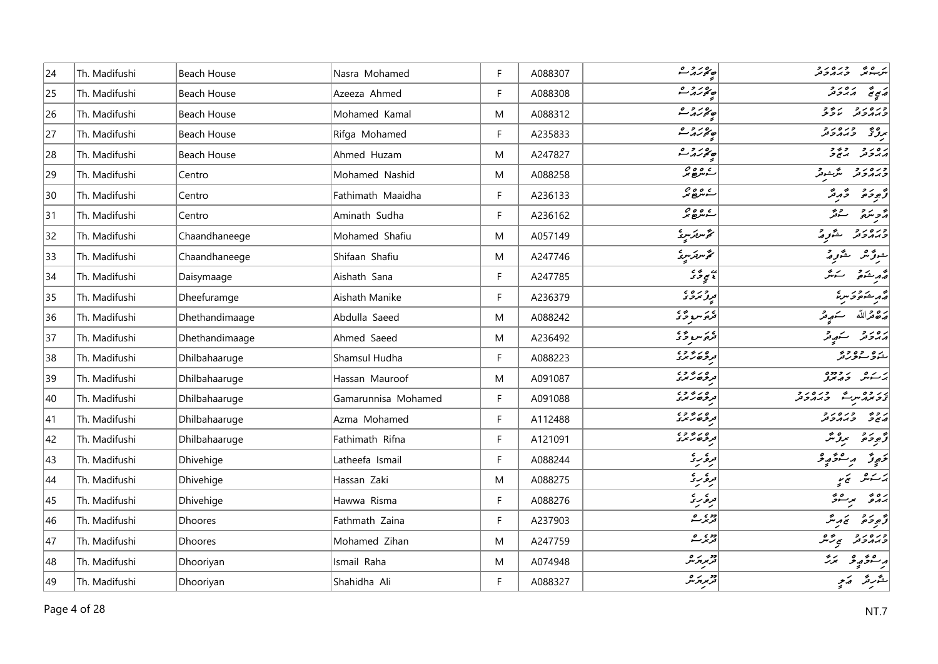| 24 | Th. Madifushi | <b>Beach House</b> | Nasra Mohamed       | F. | A088307 | ھەمزىر م                                      | ىئەبەيىتە<br>و ره ر د<br>تر پر ژنو      |
|----|---------------|--------------------|---------------------|----|---------|-----------------------------------------------|-----------------------------------------|
| 25 | Th. Madifushi | <b>Beach House</b> | Azeeza Ahmed        | F. | A088308 | ە <i>ئەجەنە</i> ر م                           | پر سمج<br>  پر سمج<br>پروژو             |
| 26 | Th. Madifushi | <b>Beach House</b> | Mohamed Kamal       | Μ  | A088312 | پەيمەر جەم<br>ئ                               | ورەر دىرو                               |
| 27 | Th. Madifushi | <b>Beach House</b> | Rifga Mohamed       | F  | A235833 | 27.80                                         | و ره ر د<br><i>و پر پ</i> ر تر<br>ىروتى |
| 28 | Th. Madifushi | <b>Beach House</b> | Ahmed Huzam         | Μ  | A247827 | 27.80                                         | ره رو و دو                              |
| 29 | Th. Madifushi | Centro             | Mohamed Nashid      | Μ  | A088258 | بدوه بر                                       | ورەرو شەر                               |
| 30 | Th. Madifushi | Centro             | Fathimath Maaidha   | F  | A236133 | ے موضح تر<br>سے مترب <u>ع</u> تر              | وَجِوحَةً وَمِتَر                       |
| 31 | Th. Madifushi | Centro             | Aminath Sudha       | F  | A236162 | سرهومو                                        | أزجر سرقه المستقر                       |
| 32 | Th. Madifushi | Chaandhaneege      | Mohamed Shafiu      | M  | A057149 | كۇسرىرَ سرىگە                                 | כנסני ביצב                              |
| 33 | Th. Madifushi | Chaandhaneege      | Shifaan Shafiu      | M  | A247746 | كۇسىرىسىد                                     | خور پی میگروند.<br>مرکز میگروند         |
| 34 | Th. Madifushi | Daisymaage         | Aishath Sana        | F. | A247785 | پر سوچ ی<br>  نام سمج تر <sub>ک</sub>         | قەرشىق سۇش                              |
| 35 | Th. Madifushi | Dheefuramge        | Aishath Manike      | F. | A236379 | و د ه ه ه<br>پرو ترو د                        | و گهر شوه د کرمرغ<br>م                  |
| 36 | Th. Madifushi | Dhethandimaage     | Abdulla Saeed       | M  | A088242 | ې ئەھەر ئ <sup>ىس</sup> ج                     | حديدالله كويتر                          |
| 37 | Th. Madifushi | Dhethandimaage     | Ahmed Saeed         | M  | A236492 | <br> مریر سرو رحمه<br> -                      | پره رو سکھیے                            |
| 38 | Th. Madifushi | Dhilbahaaruge      | Shamsul Hudha       | F  | A088223 | ه د ه د بر و ،<br>درمون تر بر د               | يەر 1922.<br>شۇر سەن <i>ۇر</i> تىر      |
| 39 | Th. Madifushi | Dhilbahaaruge      | Hassan Mauroof      | M  | A091087 | ه در ۶ و ۷<br>درمر <i>ه ر</i> بر <sub>ک</sub> | ير کيمر د د ده وده                      |
| 40 | Th. Madifushi | Dhilbahaaruge      | Gamarunnisa Mohamed | F  | A091088 | ه د ه د بر و ،<br>درمون تر بر د               | رد وه سرگ وره دو                        |
| 41 | Th. Madifushi | Dhilbahaaruge      | Azma Mohamed        | F  | A112488 | ه در ۶ و ۷<br>درمر <i>ه ر</i> بر <sub>ک</sub> | ני כנסני<br>הים בגבבת                   |
| 42 | Th. Madifushi | Dhilbahaaruge      | Fathimath Rifna     | F. | A121091 | ه در ۶ و ۷<br>درمر <i>ه ر</i> بر <sub>ک</sub> | و موده بروتر                            |
| 43 | Th. Madifushi | Dhivehige          | Latheefa Ismail     | F  | A088244 | ىرغەرى<br>مەم                                 | ىز بەرگە<br>خىرى قىل<br>برے څېړ و       |
| 44 | Th. Madifushi | Dhivehige          | Hassan Zaki         | Μ  | A088275 | ىرغەرى<br>م                                   | اير <u>س</u> تمبر<br>اير ستمبر          |
| 45 | Th. Madifushi | Dhivehige          | Hawwa Risma         | F  | A088276 | ورځ ر <sub>ئ</sub><br>مرغ                     | رەپى برىدۇ                              |
| 46 | Th. Madifushi | <b>Dhoores</b>     | Fathmath Zaina      | F  | A237903 | دد ،<br>تربر ک                                | توافق المحمد المستر                     |
| 47 | Th. Madifushi | <b>Dhoores</b>     | Mohamed Zihan       | M  | A247759 | دد ۽ ه                                        | ورەرو پرتىر                             |
| 48 | Th. Madifushi | Dhooriyan          | Ismail Raha         | M  | A074948 | قرىرىژىگر                                     | ر عۇرپۇ ب                               |
| 49 | Th. Madifushi | Dhooriyan          | Shahidha Ali        | F  | A088327 | قرىرىزىگە                                     | ڪريگر اوکيمي                            |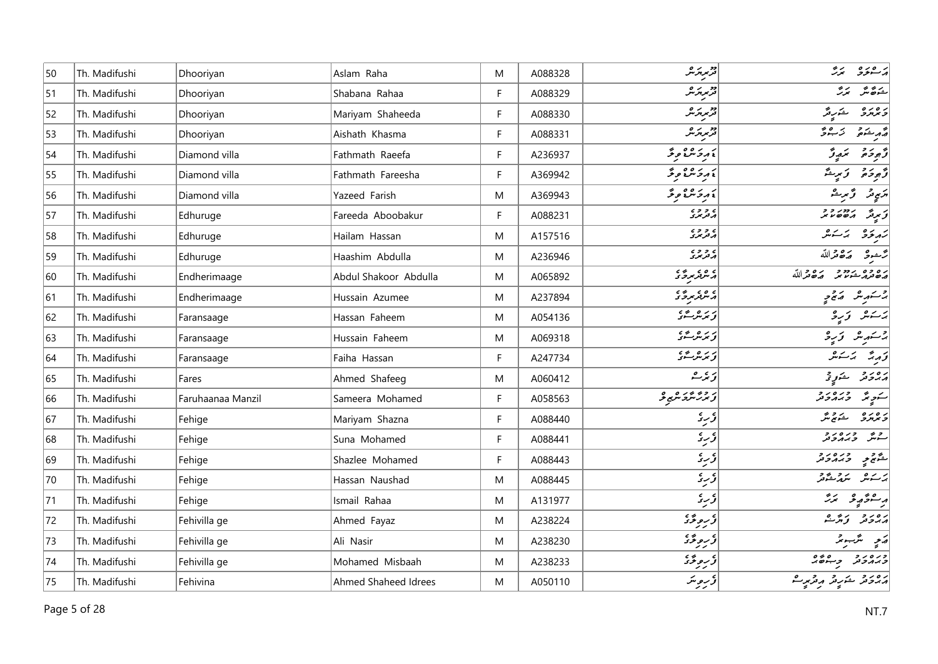| 50 | Th. Madifushi | Dhooriyan         | Aslam Raha            | ${\sf M}$ | A088328 | دو<br>قرىرىژىنز                      | بر عروض برو                                        |
|----|---------------|-------------------|-----------------------|-----------|---------|--------------------------------------|----------------------------------------------------|
| 51 | Th. Madifushi | Dhooriyan         | Shabana Rahaa         | F         | A088329 | اقرىرىدىق                            | شكاه مكركز                                         |
| 52 | Th. Madifushi | Dhooriyan         | Mariyam Shaheeda      | F         | A088330 | ترىرىرىر                             | د ۱۵ د کمک میکند تکر                               |
| 53 | Th. Madifushi | Dhooriyan         | Aishath Khasma        | F         | A088331 | در بره<br>  تر بر بر مر              | ۇرمۇم ئىبۇ                                         |
| 54 | Th. Madifushi | Diamond villa     | Fathmath Raeefa       | F         | A236937 | ئەر ئەمرىگە <sub>قو</sub> ڭر         | وً وَدَمَ تَمَدِوٌ                                 |
| 55 | Th. Madifushi | Diamond villa     | Fathmath Fareesha     | F         | A369942 | أؤرخ مثنا وقر                        | قرموخو قريبية                                      |
| 56 | Th. Madifushi | Diamond villa     | Yazeed Farish         | ${\sf M}$ | A369943 | ئەر ئەمرىگە <sub>قو</sub> ڭر         | أأربي قرائم ومحمر يمش                              |
| 57 | Th. Madifushi | Edhuruge          | Fareeda Aboobakur     | F         | A088231 | ے و و ۽<br>پر تعريمي                 | تورش رودرور                                        |
| 58 | Th. Madifushi | Edhuruge          | Hailam Hassan         | ${\sf M}$ | A157516 | ے و و ۽<br>پر تعريمي                 | تەرىخى ئەسكىر                                      |
| 59 | Th. Madifushi | Edhuruge          | Haashim Abdulla       | M         | A236946 | ے و و ے<br>پر تعری                   | تزحو وكافرالله                                     |
| 60 | Th. Madifushi | Endherimaage      | Abdul Shakoor Abdulla | M         | A065892 | پر عربر پر پر پر                     | ره وه بردو و بره و الله                            |
| 61 | Th. Madifushi | Endherimaage      | Hussain Azumee        | ${\sf M}$ | A237894 | ء عرو بريخ د<br> مرتفر <i>بر</i> و د |                                                    |
| 62 | Th. Madifushi | Faransaage        | Hassan Faheem         | ${\sf M}$ | A054136 | ىر بە ھەم يەم<br>تونىرىش سىرى        | وسکور مگر درگاری<br>برسکور درگاری<br>برسکور درگاری |
| 63 | Th. Madifushi | Faransaage        | Hussain Faheem        | M         | A069318 | ىز بر ھەييىتى يە                     | برسكر تورد                                         |
| 64 | Th. Madifushi | Faransaage        | Faiha Hassan          | F         | A247734 | ۇ ئەر بەر بەر                        | أذرج أركبته                                        |
| 65 | Th. Madifushi | Fares             | Ahmed Shafeeg         | M         | A060412 | ئە ئەرم                              | دەر د ھەر ئى                                       |
| 66 | Th. Madifushi | Faruhaanaa Manzil | Sameera Mohamed       | F         | A058563 | ر وو ور ه<br>زىرر ئىرد ئىرىج         | سوپر در در د                                       |
| 67 | Th. Madifushi | Fehige            | Mariyam Shazna        | F         | A088440 | ې<br>توريخ                           | رەرە شەر                                           |
| 68 | Th. Madifushi | Fehige            | Suna Mohamed          | F         | A088441 | ې مړي<br>توريخ                       | رحمد ورەرو                                         |
| 69 | Th. Madifushi | Fehige            | Shazlee Mohamed       | F         | A088443 | كوربح                                | أشميم وره دو                                       |
| 70 | Th. Madifushi | Fehige            | Hassan Naushad        | ${\sf M}$ | A088445 | ې<br>توريخ                           | بركستكل التركم شقوقر                               |
| 71 | Th. Madifushi | Fehige            | Ismail Rahaa          | ${\sf M}$ | A131977 | ې<br>توري                            | أر شرقر و الاراقي                                  |
| 72 | Th. Madifushi | Fehivilla ge      | Ahmed Fayaz           | ${\sf M}$ | A238224 | ۇروڭۇ                                | برەرد زېر ه                                        |
| 73 | Th. Madifushi | Fehivilla ge      | Ali Nasir             | ${\sf M}$ | A238230 | ۇر <sub>ەم</sub> ۇ ئە                | أەكىر سەسىر                                        |
| 74 | Th. Madifushi | Fehivilla ge      | Mohamed Misbaah       | M         | A238233 | ۇروڭۇ                                |                                                    |
| 75 | Th. Madifushi | Fehivina          | Ahmed Shaheed Idrees  | ${\sf M}$ | A050110 | ۇرەبىر                               | أرود و خريد المتهار                                |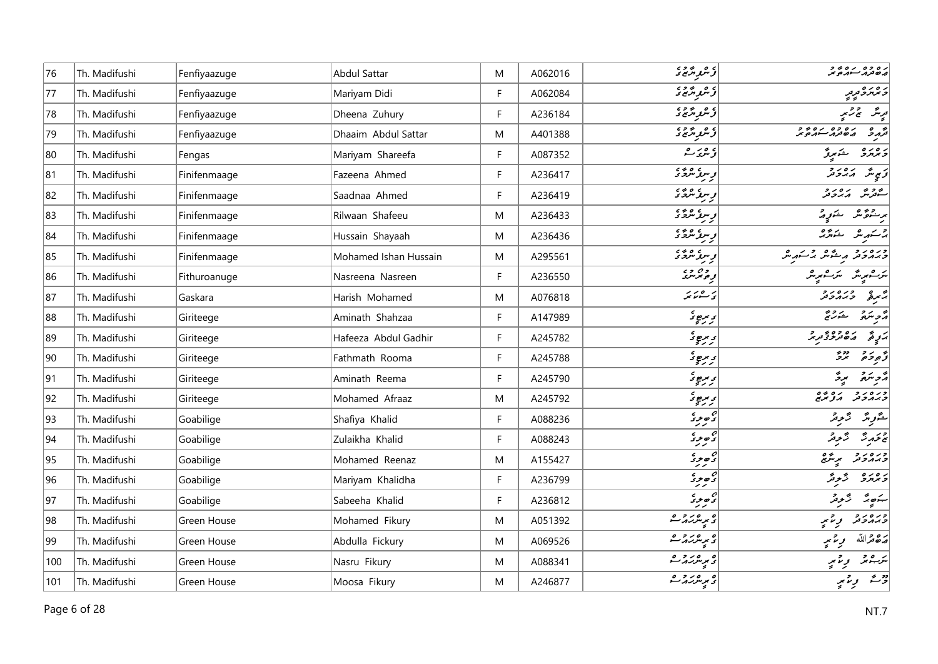| 76  | Th. Madifushi | Fenfiyaazuge       | Abdul Sattar          | ${\sf M}$ | A062016 | ئۇنترى <i>م بىرى</i><br>                 | ر ٥ ر ٥ ر ٥ ر ٥ ر<br>۹ ر ۲ و ۸ سر و مر              |
|-----|---------------|--------------------|-----------------------|-----------|---------|------------------------------------------|-----------------------------------------------------|
| 77  | Th. Madifushi | Fenfiyaazuge       | Mariyam Didi          | F         | A062084 | ې مهمو پر <sup>په پ</sup> ر <sup>پ</sup> | ر ەر ەيرىر<br> تر پرېر دېرىر                        |
| 78  | Th. Madifushi | Fenfiyaazuge       | Dheena Zuhury         | F         | A236184 | ئۇ شرى <sub>ق</sub> ىرىمى<br>            | ىرىگە ج <sup>2</sup> كىر                            |
| 79  | Th. Madifushi | Fenfiyaazuge       | Dhaaim Abdul Sattar   | M         | A401388 | ې مهمو پر د ،<br>لر سربر پر ،            |                                                     |
| 80  | Th. Madifushi | Fengas             | Mariyam Shareefa      | F         | A087352 | ۇيۇرم                                    | رەرە شىرۇ                                           |
| 81  | Th. Madifushi | Finifenmaage       | Fazeena Ahmed         | F         | A236417 | ار سرڈ بردی<br>پر                        | ۇي ئىر مەردىر                                       |
| 82  | Th. Madifushi | Finifenmaage       | Saadnaa Ahmed         | F         | A236419 | وسوعدة                                   | ے وہ دے دور                                         |
| 83  | Th. Madifushi | Finifenmaage       | Rilwaan Shafeeu       | ${\sf M}$ | A236433 | ار پېږو شوه <del>.</del><br>په سرو شرحري | <br>  پرڪوڻش ڪورچ                                   |
| 84  | Th. Madifushi | Finifenmaage       | Hussain Shayaah       | ${\sf M}$ | A236436 | وسرڈ مرمز کر                             | بر کرم شور دی                                       |
| 85  | Th. Madifushi | Finifenmaage       | Mohamed Ishan Hussain | M         | A295561 | اربىر ئەھمىي                             | ورەرو رىشەر جاسر                                    |
| 86  | Th. Madifushi | Fithuroanuge       | Nasreena Nasreen      | F         | A236550 | ده ده د،                                 | ىرگوپرىگە سىرگوپرىگە                                |
| 87  | Th. Madifushi | Gaskara            | Harish Mohamed        | ${\sf M}$ | A076818 | ىر ھەيزىر                                | بره دره دو                                          |
| 88  | Th. Madifushi | Giriteege          | Aminath Shahzaa       | F         | A147989 | ړ مربو ځ<br>تر تر پ                      | أأروبتهم المشروع                                    |
| 89  | Th. Madifushi | Giriteege          | Hafeeza Abdul Gadhir  | F         | A245782 | ړ بره ځ<br>تر په                         |                                                     |
| 90  | Th. Madifushi | Giriteege          | Fathmath Rooma        | F         | A245788 | ړ مربو ځ<br>تر تر پ                      | و بر د<br>گرجو څخه<br>ووي<br>مرگ                    |
| 91  | Th. Madifushi | Giriteege          | Aminath Reema         | F         | A245790 | ۍ مربو ځ<br>تر تر په                     | ړٌ پر په پر د                                       |
| 92  | Th. Madifushi | Giriteege          | Mohamed Afraaz        | ${\sf M}$ | A245792 | ا <sub>و مرجع</sub> و<br><u>مر</u> مو و  | כנסנכ נסשם<br>כגמבת הציבים                          |
| 93  | Th. Madifushi | Goabilige          | Shafiya Khalid        | F         | A088236 | ج ھور؟<br>د                              | ڪروگر گروگر                                         |
| 94  | Th. Madifushi | Goabilige          | Zulaikha Khalid       | F         | A088243 | ج حوي <sup><br/>د</sup> حوي              | تجوتر<br>چ ئۇ بەر ش                                 |
| 95  | Th. Madifushi | Goabilige          | Mohamed Reenaz        | M         | A155427 | ہ<br>د حود                               | و ر ه ر د<br>د بر پر تر<br>بریٹرچ                   |
| 96  | Th. Madifushi | Goabilige          | Mariyam Khalidha      | F         | A236799 | ان<br>د هور                              | ر ه ر ه<br><del>ر</del> بربرگ<br>رٌ وترٌ            |
| 97  | Th. Madifushi | Goabilige          | Sabeeha Khalid        | F         | A236812 | ان<br>د حود                              | بنومهٔ گرونر                                        |
| 98  | Th. Madifushi | Green House        | Mohamed Fikury        | ${\sf M}$ | A051392 | ە بىر بىر <i>بەر 2</i>                   | و ره ر و<br><i>و پر</i> و تر<br>و ر <sup>و</sup> پر |
| 99  | Th. Madifushi | Green House        | Abdulla Fickury       | ${\sf M}$ | A069526 | <sub>ۇ بېر</sub> ىرىر ژے                 | ەھىراللە<br>ويدمير                                  |
| 100 | Th. Madifushi | <b>Green House</b> | Nasru Fikury          | M         | A088341 | د سپه پر د م                             | ىر بە ج                                             |
| 101 | Th. Madifushi | Green House        | Moosa Fikury          | ${\sf M}$ | A246877 | ە بىر بىر <i>بىر 2-</i><br>ئ             | وحيش ورحمي                                          |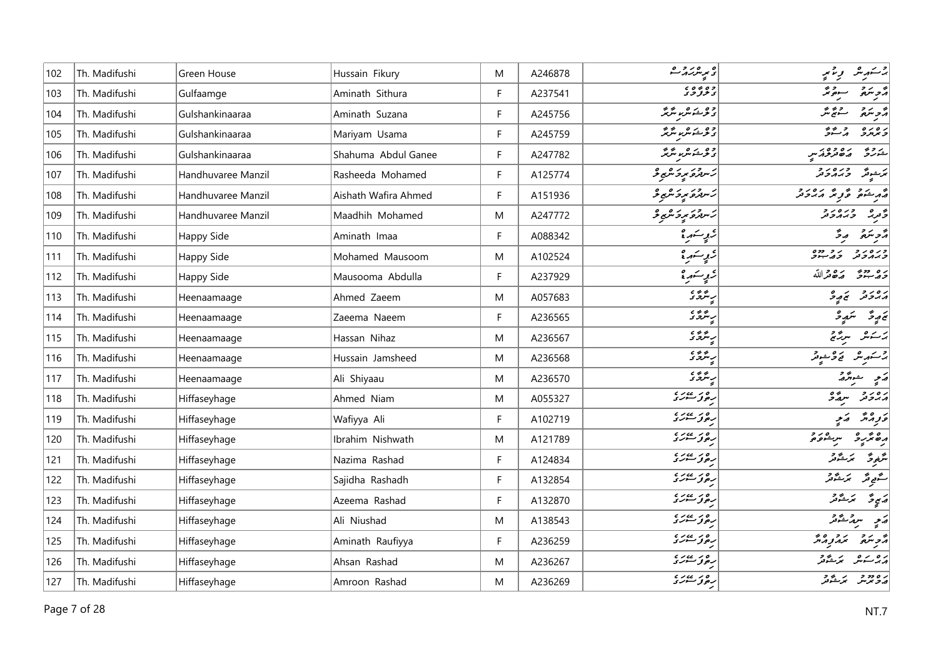| 102 | Th. Madifushi | Green House        | Hussain Fikury       | M  | A246878 | <sub>می پی</sub> ر پر چرم<br>  <sub>می</sub> پر پر پر چ | بر سەمەھرىمەسىر<br>بر سەم                |
|-----|---------------|--------------------|----------------------|----|---------|---------------------------------------------------------|------------------------------------------|
| 103 | Th. Madifushi | Gulfaamge          | Aminath Sithura      | F  | A237541 | و ه و ه ه ،<br>د <del>و</del> تو <del>و</del> د         | اړموسمه<br>$50 -$                        |
| 104 | Th. Madifushi | Gulshankinaaraa    | Aminath Suzana       | F  | A245756 | د تۇيغۇرىتىرى <i>مىڭ</i> ر                              | يە ئەيتر<br>أأرمز                        |
| 105 | Th. Madifushi | Gulshankinaaraa    | Mariyam Usama        | F  | A245759 | ئۇغۇشكىرىدىگە<br>                                       | ر ه ر ه<br><del>ر</del> بربرگر           |
| 106 | Th. Madifushi | Gulshankinaaraa    | Shahuma Abdul Ganee  | F  | A247782 | د تۇخسەملىرىدىگە<br>                                    | ره وه در سر<br>ے ترتج                    |
| 107 | Th. Madifushi | Handhuvaree Manzil | Rasheeda Mohamed     | F  | A125774 |                                                         | برشوتر وبرە بەر<br>برشوتر <i>وبرو</i> تر |
| 108 | Th. Madifushi | Handhuvaree Manzil | Aishath Wafira Ahmed | F  | A151936 | ئەس <i>ترۇپرۇ</i> ش <sub>كى</sub> رۇ                    | ومرشوق وتوبر وبردير                      |
| 109 | Th. Madifushi | Handhuvaree Manzil | Maadhih Mohamed      | M  | A247772 | ر سرو څر کو شيو څر                                      | و رە ر د<br>تر پر تر تر<br>ۇ تىر بۇ      |
| 110 | Th. Madifushi | Happy Side         | Aminath Imaa         | F. | A088342 | ر بو سەر ؟<br>مۇسىسىر                                   | ړٌ د سره په د                            |
| 111 | Th. Madifushi | <b>Happy Side</b>  | Mohamed Mausoom      | M  | A102524 | ر بو سەر ؟<br>سىمبە                                     | כנסנכ נכס<br><i>כמ</i> תכת כתייכ         |
| 112 | Th. Madifushi | Happy Side         | Mausooma Abdulla     | F. | A237929 | ر<br>مربو سکهر ه                                        | ر ه دونو<br>وړ ښونو<br>مەھىراللە         |
| 113 | Th. Madifushi | Heenaamaage        | Ahmed Zaeem          | M  | A057683 | ر پڙھ ي<br>پي                                           | أزود ويحمده                              |
| 114 | Th. Madifushi | Heenaamaage        | Zaeema Naeem         | F  | A236565 | ر پڙو ۽<br>په                                           | ئە ھەرىجە<br>ت<br>سَمِيرة                |
| 115 | Th. Madifushi | Heenaamaage        | Hassan Nihaz         | M  | A236567 | ر پڙھ ي<br>پيدا                                         | يرك مشرقيح                               |
| 116 | Th. Madifushi | Heenaamaage        | Hussain Jamsheed     | M  | A236568 | ر پڙھ ئ                                                 | جرحكم مكافح والمحافظة                    |
| 117 | Th. Madifushi | Heenaamaage        | Ali Shiyaau          | M  | A236570 | ر پژو <sup>ي</sup>                                      |                                          |
| 118 | Th. Madifushi | Hiffaseyhage       | Ahmed Niam           | M  | A055327 | رە دىسەر ،                                              | גפני יידי                                |
| 119 | Th. Madifushi | Hiffaseyhage       | Wafiyya Ali          | F. | A102719 | رە ئەسىر ،                                              | ءَ په په په                              |
| 120 | Th. Madifushi | Hiffaseyhage       | Ibrahim Nishwath     | M  | A121789 | رە دې بەر ،<br>رەۋ سىن د                                | ە ھېڭرى<br>برھېڭرى<br>سرڪو تر و          |
| 121 | Th. Madifushi | Hiffaseyhage       | Nazima Rashad        | F  | A124834 | رە ئەسىر ،                                              | يت <sub>منعج</sub> ر<br>ىر شەر           |
| 122 | Th. Madifushi | Hiffaseyhage       | Sajidha Rashadh      | F  | A132854 | ە ئەربەر يەر<br>بەھ بىز سىلىرى                          | <i>گۈر گەنگە</i> گە                      |
| 123 | Th. Madifushi | Hiffaseyhage       | Azeema Rashad        | F  | A132870 | رە ئەسىرى<br>بەھ ئەسىرى                                 |                                          |
| 124 | Th. Madifushi | Hiffaseyhage       | Ali Niushad          | M  | A138543 | ە دىسەد ،<br>رەۋ سىزى                                   | ړکې سرړینځنر                             |
| 125 | Th. Madifushi | Hiffaseyhage       | Aminath Raufiyya     | F  | A236259 | رە ئەسىر ،                                              | ה<br>הכיטה ימונות                        |
| 126 | Th. Madifushi | Hiffaseyhage       | Ahsan Rashad         | M  | A236267 | رە بە يەر ،<br>بەھ تۇسىن بە                             | رەپە                                     |
| 127 | Th. Madifushi | Hiffaseyhage       | Amroon Rashad        | M  | A236269 | رە ئەسىزىرى<br>بەھ ئەسىزىرى                             | رە«د پرشتر                               |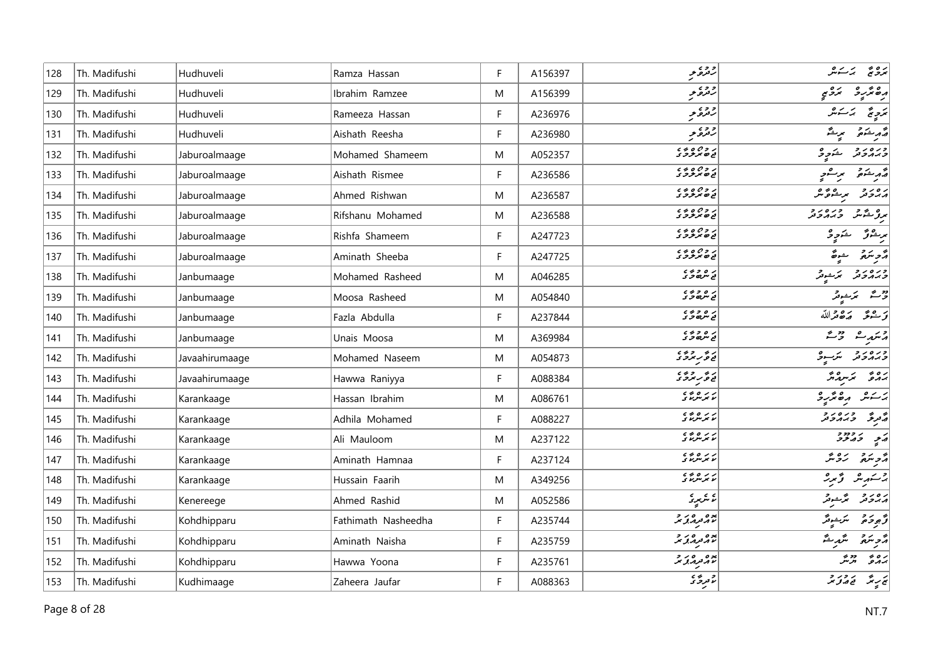| 128 | Th. Madifushi | Hudhuveli      | Ramza Hassan        | F           | A156397 | و و ،<br>رتر <i>و و</i>                      | بر ہ مج<br>مرد مج<br>برسەمىر             |
|-----|---------------|----------------|---------------------|-------------|---------|----------------------------------------------|------------------------------------------|
| 129 | Th. Madifushi | Hudhuveli      | Ibrahim Ramzee      | M           | A156399 | و و ،<br>رتو <sub>ن</sub> و و                | ە ھەترىر <sup>ە</sup><br>بروسي           |
| 130 | Th. Madifushi | Hudhuveli      | Rameeza Hassan      | F           | A236976 | ژنوء پر                                      | برَدِجٌ<br>برسەيىتىر                     |
| 131 | Th. Madifushi | Hudhuveli      | Aishath Reesha      | F           | A236980 | د و ه<br>  ر تره م                           | و مر به در<br>مرکز مشور<br>ىرىش          |
| 132 | Th. Madifushi | Jaburoalmaage  | Mohamed Shameem     | M           | A052357 | ر و <i>0 ه ه »</i><br>انع ح <i>ه مرو و</i> د | و ر ه ر و<br>و پر پر تر<br>ستوور         |
| 133 | Th. Madifushi | Jaburoalmaage  | Aishath Rismee      | $\mathsf F$ | A236586 | ر و <i>0 ه ه »</i><br>ای <i>ه بر و</i> و د   | و مر<br>مرگه مشوحو<br>بررحو              |
| 134 | Th. Madifushi | Jaburoalmaage  | Ahmed Rishwan       | M           | A236587 | ر و 0 ە ە » ،<br>ق ھ مرمرو ى                 | رەر د مەشرەپ<br>مەرى مەشرەپ              |
| 135 | Th. Madifushi | Jaburoalmaage  | Rifshanu Mohamed    | M           | A236588 | ر و ٥ ٥ ٥ ٠<br>ق ح عرفر و د                  | و رە ر د<br>تر پر تر تر<br>برۇشەشر       |
| 136 | Th. Madifushi | Jaburoalmaage  | Rishfa Shameem      | F           | A247723 | ر و <i>0 ه ه »</i><br>اقع <i>ه بر</i> وگر    | ابريثوثر<br>شكور و                       |
| 137 | Th. Madifushi | Jaburoalmaage  | Aminath Sheeba      | $\mathsf F$ | A247725 | ر و <i>0 ه ه »</i><br>انع ح <i>ه مرو و</i> د | أرمزة<br>شدهٌ                            |
| 138 | Th. Madifushi | Janbumaage     | Mohamed Rasheed     | M           | A046285 | ر ه د و و ،<br>قع سرحه تر د                  | و ر ه ر د<br>تر پر ژ تر<br>ىخرىشە تۈ     |
| 139 | Th. Madifushi | Janbumaage     | Moosa Rasheed       | M           | A054840 | ر ه و و »<br>تع سرحه و د                     | رح پر پر                                 |
| 140 | Th. Madifushi | Janbumaage     | Fazla Abdulla       | F           | A237844 | ر ه د د »<br>د سره ژ د                       | صصرالله<br>ترشقر                         |
| 141 | Th. Madifushi | Janbumaage     | Unais Moosa         | M           | A369984 | ر ه د و و ،<br>تع سرچ تر ی                   | وتمدعه وحمشة                             |
| 142 | Th. Madifushi | Javaahirumaage | Mohamed Naseem      | M           | A054873 | ر پر پر پر پر<br>نے تر برتر <sub>ک</sub>     | و ر ه ر د<br>تر پر تر تر<br>ىئرسەۋ       |
| 143 | Th. Madifushi | Javaahirumaage | Hawwa Raniyya       | F           | A088384 | پر ځې پر د د پر<br>  پنج کمر پنز د ک         | برسره پر<br>رە پە<br>پەرى                |
| 144 | Th. Madifushi | Karankaage     | Hassan Ibrahim      | M           | A086761 | ر ر ه و د ،<br>ما بر سرد د                   | رە ئەرد<br>برسەيىتە                      |
| 145 | Th. Madifushi | Karankaage     | Adhila Mohamed      | $\mathsf F$ | A088227 | ر ر ه و د ،<br>ما موسود د                    | و رە ر د<br>تر پر تر تر<br>ر<br>پر گر گر |
| 146 | Th. Madifushi | Karankaage     | Ali Mauloom         | M           | A237122 | ر ر ه و »<br>ما بر سرد د                     |                                          |
| 147 | Th. Madifushi | Karankaage     | Aminath Hamnaa      | F           | A237124 | ر ر ه و »<br>ما <del>ب</del> رسرد د          | أروبترة<br>ر ه پژ                        |
| 148 | Th. Madifushi | Karankaage     | Hussain Faarih      | M           | A349256 | ر ره ۶۵<br>ما بر مرما د                      |                                          |
| 149 | Th. Madifushi | Kenereege      | Ahmed Rashid        | M           | A052586 | ى ئەرىپە ئ                                   | ر ە ر د<br>م.ر تر تر<br>گرشەتر           |
| 150 | Th. Madifushi | Kohdhipparu    | Fathimath Nasheedha | F           | A235744 | بره مره بو بر<br>مره برگو بر                 | وٌموترة<br>سكرشدقكر                      |
| 151 | Th. Madifushi | Kohdhipparu    | Aminath Naisha      | F           | A235759 | بره <sub>مرم</sub> ربر بر                    | ۇ ئەسىم<br>مەسىم<br>ىئەرىشە              |
| 152 | Th. Madifushi | Kohdhipparu    | Hawwa Yoona         | F           | A235761 | بره <sub>مرم</sub> و بر حه                   | برەپچ<br>دد محر                          |
| 153 | Th. Madifushi | Kudhimaage     | Zaheera Jaufar      | F           | A088363 | د و په<br>موږد د                             | تحرير تحارثون                            |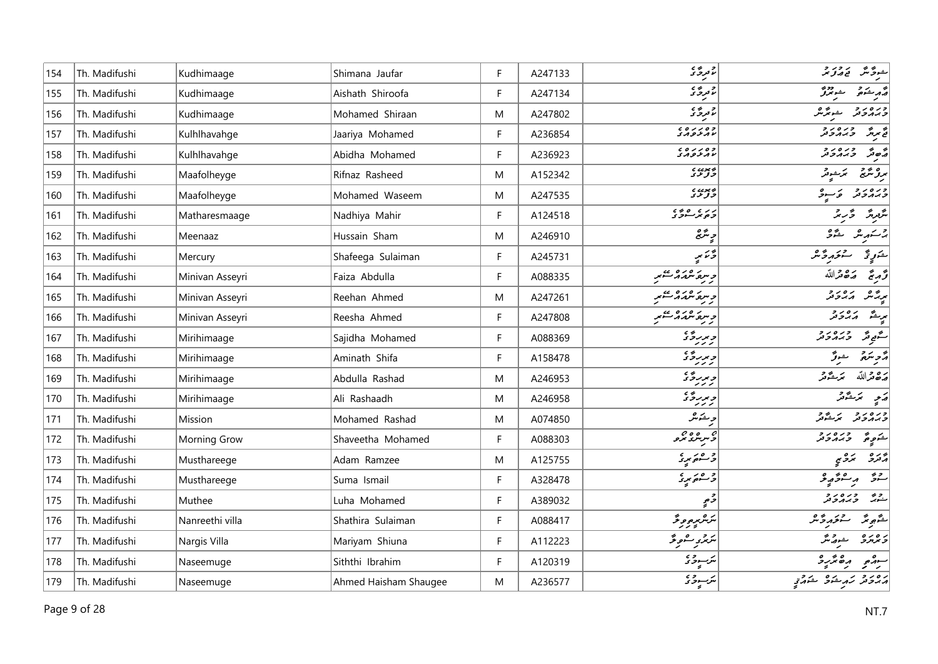| 154 | Th. Madifushi | Kudhimaage          | Shimana Jaufar        | F  | A247133 | توریح ی<br>  تا مریح <sub>ک</sub>                    | أخوق شم في المرور و                           |
|-----|---------------|---------------------|-----------------------|----|---------|------------------------------------------------------|-----------------------------------------------|
| 155 | Th. Madifushi | Kudhimaage          | Aishath Shiroofa      | F. | A247134 | د و پرې<br>ما تورگر                                  | و ديده دردو.<br>در شور در                     |
| 156 | Th. Madifushi | Kudhimaage          | Mohamed Shiraan       | M  | A247802 | د مرچ ی<br>  ما مرچ ی                                | ورەرو جوړىر                                   |
| 157 | Th. Madifushi | Kulhlhavahge        | Jaariya Mohamed       | F  | A236854 | وه ر ر ه ،<br>ما پر نوار د                           | و رە ر د<br>تر پروتر<br>يځ <sub>محر</sub> وگر |
| 158 | Th. Madifushi | Kulhlhavahge        | Abidha Mohamed        | F  | A236923 | وه ر ر ه ،<br>ما پر نوچر                             | גם בנסיפ                                      |
| 159 | Th. Madifushi | Maafolheyge         | Rifnaz Rasheed        | M  | A152342 | ه پون<br><del>و</del> تو بو ب                        | ىرۇشى ئىشىتر                                  |
| 160 | Th. Madifushi | Maafolheyge         | Mohamed Waseem        | M  | A247535 | ه بودن تا<br>تر تو لو ی                              | ورەرو كەسو                                    |
| 161 | Th. Madifushi | Matharesmaage       | Nadhiya Mahir         | F  | A124518 | ر ر ر ه و و ر<br><del>و</del> ه پر شو <del>ر</del> و | شمرش وكربر                                    |
| 162 | Th. Madifushi | Meenaaz             | Hussain Sham          | M  | A246910 | حريثره                                               | جر سُمبر شرید مشرقه<br>مرگز                   |
| 163 | Th. Madifushi | Mercury             | Shafeega Sulaiman     | F  | A245731 | اقحنوسي                                              | شَرَرٍ يُنْ سَمْحَمْدِ وَسُرْ                 |
| 164 | Th. Madifushi | Minivan Asseyri     | Faiza Abdulla         | F. | A088335 | جەسھ سىدە مەسىمبر                                    | قَرْمِيحٌ صَدَّدَاللَّهُ                      |
| 165 | Th. Madifushi | Minivan Asseyri     | Reehan Ahmed          | M  | A247261 | احەسىھ شرىر ھەتتى<br>مەسىم شرىر كىشىمە               | بررگان بره برد.<br>پرس                        |
| 166 | Th. Madifushi | Minivan Asseyri     | Reesha Ahmed          | F  | A247808 | احر سوء مده منه<br>پرسو شمه د مشمر                   | پرینڈ   کربر ور                               |
| 167 | Th. Madifushi | Mirihimaage         | Sajidha Mohamed       | F  | A088369 | د برر دمی<br>ربر ر                                   |                                               |
| 168 | Th. Madifushi | Mirihimaage         | Aminath Shifa         | F  | A158478 | د برر دمی<br>ر ر ر                                   | أأترجع سوتر                                   |
| 169 | Th. Madifushi | Mirihimaage         | Abdulla Rashad        | M  | A246953 | د بررد د .<br>ر ر ر                                  | مَصْعَراللّه<br>ىر شەھر                       |
| 170 | Th. Madifushi | Mirihimaage         | Ali Rashaadh          | M  | A246958 | ا د برر دي.<br>اب                                    | أركمني المحرشة فكر                            |
| 171 | Th. Madifushi | Mission             | Mohamed Rashad        | M  | A074850 | حەشىر                                                | ورەر دىرىدە<br><i>دىد</i> ەردىر بۇشۇنر        |
| 172 | Th. Madifushi | <b>Morning Grow</b> | Shaveetha Mohamed     | F. | A088303 | م سر مربوع <i>مرد</i>                                | و رە ر د<br>تر پر تر تر<br>شكومجٌ             |
| 173 | Th. Madifushi | Musthareege         | Adam Ramzee           | M  | A125755 | د صمر مر <sub>ي</sub>                                | پر ده در در پا                                |
| 174 | Th. Madifushi | Musthareege         | Suma Ismail           | F  | A328478 | د صمر سر<br>په سونو سر                               | $\frac{2}{3}$                                 |
| 175 | Th. Madifushi | Muthee              | Luha Mohamed          | F  | A389032 | و<br>حي                                              | روه وره دو                                    |
| 176 | Th. Madifushi | Nanreethi villa     | Shathira Sulaiman     | F  | A088417 | سر شريب مريحه                                        | أشور من المعدد                                |
| 177 | Th. Madifushi | Nargis Villa        | Mariyam Shiuna        | F  | A112223 | ىئەتترىر سىنقرىقى                                    | ويوجو حوضش                                    |
| 178 | Th. Madifushi | Naseemuge           | Siththi Ibrahim       | F. | A120319 | ېرسود د                                              | رە ئەرد<br>سورصحر                             |
| 179 | Th. Madifushi | Naseemuge           | Ahmed Haisham Shaugee | M  | A236577 | پرسودی<br>پ                                          | رەر ئەرىشى ئەر                                |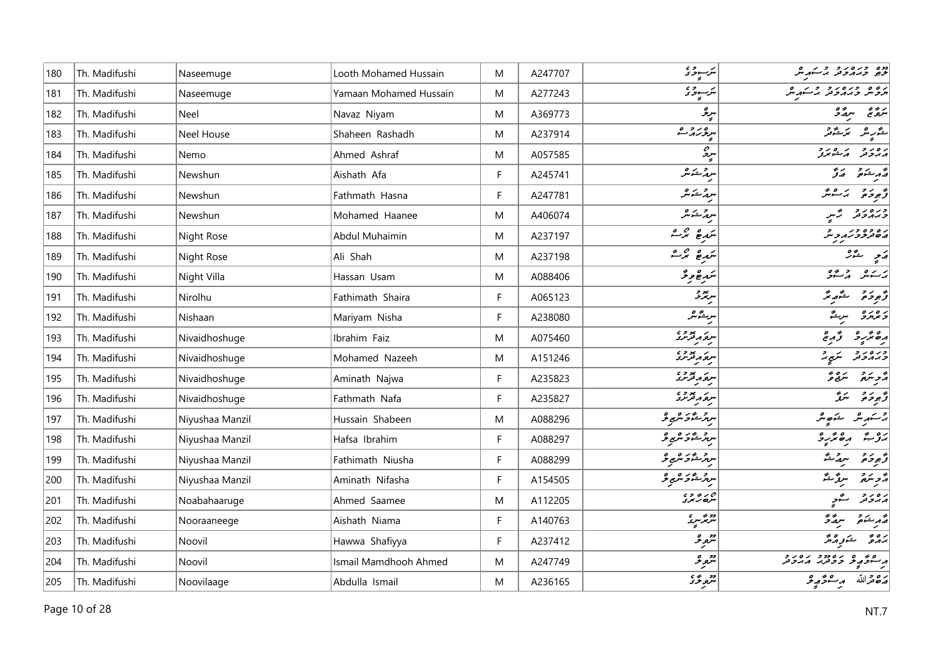| 180 | Th. Madifushi | Naseemuge       | Looth Mohamed Hussain  | M           | A247707 | ىگەسىيەتى<br>ئە                          | מם כנסנכ כנים.<br><del>ت</del> وجو <i>כמחכ</i> נק מ-ימקיית |
|-----|---------------|-----------------|------------------------|-------------|---------|------------------------------------------|------------------------------------------------------------|
| 181 | Th. Madifushi | Naseemuge       | Yamaan Mohamed Hussain | M           | A277243 | پر پەيەدى<br>ئەسپە                       | נים כנסני הבותית                                           |
| 182 | Th. Madifushi | Neel            | Navaz Niyam            | M           | A369773 | سرچ                                      | أنترقع المترجم                                             |
| 183 | Th. Madifushi | Neel House      | Shaheen Rashadh        | M           | A237914 | ابېږورته قسم                             | سەر بىر بىر بىر ئەركەتلىر<br>ئ                             |
| 184 | Th. Madifushi | Nemo            | Ahmed Ashraf           | M           | A057585 | с<br>سرير                                | ره رو بر ۱۵ دو<br>پرېرونس پر شوبرو                         |
| 185 | Th. Madifushi | Newshun         | Aishath Afa            | F           | A245741 | سرچریشو میں                              | مەرىشىمى مۇ                                                |
| 186 | Th. Madifushi | Newshun         | Fathmath Hasna         | F           | A247781 | سرچرشکرمگر                               | ۇي <sub>ۇ</sub> رى بەسىر                                   |
| 187 | Th. Madifushi | Newshun         | Mohamed Haanee         | M           | A406074 | سرچریشو                                  | ورەر دىر                                                   |
| 188 | Th. Madifushi | Night Rose      | Abdul Muhaimin         | M           | A237197 | أتترم هجرت                               | ره وه ور<br>مەھىر دىر دىر                                  |
| 189 | Th. Madifushi | Night Rose      | Ali Shah               | M           | A237198 | سَرِءٍ تَرَتَّ                           | أركمني المشرح                                              |
| 190 | Th. Madifushi | Night Villa     | Hassan Usam            | M           | A088406 | ىئەرغۇر ق                                | برَسَمبر الرَّسْوَ                                         |
| 191 | Th. Madifushi | Nirolhu         | Fathimath Shaira       | F           | A065123 | سرپر و                                   | ۇۋۇۋ شەر                                                   |
| 192 | Th. Madifushi | Nishaan         | Mariyam Nisha          | $\mathsf F$ | A238080 | اسريشمير                                 | ر ه ر ه<br>تر <del>ب</del> ر بر<br>سرشۂ                    |
| 193 | Th. Madifushi | Nivaidhoshuge   | Ibrahim Faiz           | M           | A075460 | سرە مەدىرى<br>س                          | ەر ھەترىر <i>2</i><br>ترٌ مر ح                             |
| 194 | Th. Madifushi | Nivaidhoshuge   | Mohamed Nazeeh         | M           | A151246 | سرچە جە ج<br>سرچە سرچىرى                 | و ره ر و<br><i>د بر</i> د تر<br>سىبەر                      |
| 195 | Th. Madifushi | Nivaidhoshuge   | Aminath Najwa          | F           | A235823 | سرچە جە د ي<br>سرچە پەنگەنزى             | أرمر برد<br>ىرە بە<br>سرقى خ                               |
| 196 | Th. Madifushi | Nivaidhoshuge   | Fathmath Nafa          | F           | A235827 | سرە مەقرىرى                              | ۇي <sub>ر</sub> ىز ئىۋ                                     |
| 197 | Th. Madifushi | Niyushaa Manzil | Hussain Shabeen        | M           | A088296 | سرېزىشكە ئىرىمى ئى                       | بر کرمر شکھ م                                              |
| 198 | Th. Madifushi | Niyushaa Manzil | Hafsa Ibrahim          | F           | A088297 | ڛۯٙ؊ڎػڛٷ                                 | برويثه<br>ە ھەترىرى<br>برھەترىرى                           |
| 199 | Th. Madifushi | Niyushaa Manzil | Fathimath Niusha       | F           | A088299 | سرگرىشى ئىر ئىر                          | ژُودَهُ سِهُ ۖ                                             |
| 200 | Th. Madifushi | Niyushaa Manzil | Aminath Nifasha        | F           | A154505 | ڛۯٙڂڋۮۺؠٶ                                | أرمز<br>سروٌّشَہ                                           |
| 201 | Th. Madifushi | Noabahaaruge    | Ahmed Saamee           | M           | A112205 | ہ رید و ،<br>سرچ تر بو ی                 | پر ور و<br>رمجهو                                           |
| 202 | Th. Madifushi | Nooraaneege     | Aishath Niama          | F           | A140763 | دوره<br>مرتگر سرچ                        | سرژ څ<br>وگەرىشىتى<br>مەمرىشىتى                            |
| 203 | Th. Madifushi | Noovil          | Hawwa Shafiyya         | F           | A237412 | يتر <sub>حر</sub> تحر                    | برە ئەرەپە                                                 |
| 204 | Th. Madifushi | Noovil          | Ismail Mamdhooh Ahmed  | M           | A247749 | لترعر فحر                                | بر عدد و رودو رور <del>د</del><br>بر عدد و دولار بربرد     |
| 205 | Th. Madifushi | Noovilaage      | Abdulla Ismail         | M           | A236165 | دد<br>متر <sub>جو</sub> بحر <sub>ک</sub> | رە قراللە بەر قۇم ق                                        |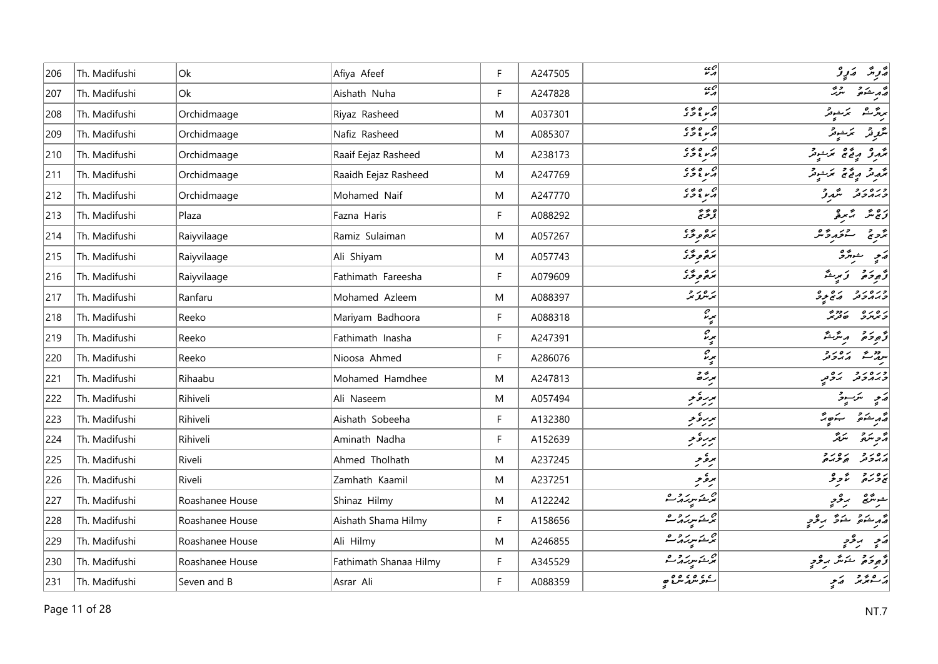| 206 | Th. Madifushi | Ok              | Afiya Afeef            | F         | A247505 | $\overset{cc}{\nu}$                   | مۇرىگە مۇرۇ                                                        |
|-----|---------------|-----------------|------------------------|-----------|---------|---------------------------------------|--------------------------------------------------------------------|
| 207 | Th. Madifushi | Ok              | Aishath Nuha           | F         | A247828 | لثرثة                                 |                                                                    |
| 208 | Th. Madifushi | Orchidmaage     | Riyaz Rasheed          | M         | A037301 | ه<br>د سره د د                        | گەرشومى تورىخ<br>كەرشومى تورىخ<br>بورگرىشو تۈرشوند                 |
| 209 | Th. Madifushi | Orchidmaage     | Nafiz Rasheed          | M         | A085307 | لمروء                                 | س <i>ُّعْدِ مُنْ سَ</i> حُومُ                                      |
| 210 | Th. Madifushi | Orchidmaage     | Raaif Eejaz Rasheed    | M         | A238173 |                                       | بمرو رقع بمشوقر                                                    |
| 211 | Th. Madifushi | Orchidmaage     | Raaidh Eejaz Rasheed   | M         | A247769 | لمروء                                 |                                                                    |
| 212 | Th. Madifushi | Orchidmaage     | Mohamed Naif           | ${\sf M}$ | A247770 | 55249                                 | - دره در پر منگرو                                                  |
| 213 | Th. Madifushi | Plaza           | Fazna Haris            | F         | A088292 | ە ئەيجە<br>بۇ ئىسى                    | ۇچىگە گەمبۇ                                                        |
| 214 | Th. Madifushi | Raiyvilaage     | Ramiz Sulaiman         | ${\sf M}$ | A057267 | ىرە ھەتىمى                            | يحرج حوروتمر<br>يحرج حوروتمر<br>يو جوگرو                           |
| 215 | Th. Madifushi | Raiyvilaage     | Ali Shiyam             | M         | A057743 | ره<br>مر <sub>گ</sub> وعو څر          |                                                                    |
| 216 | Th. Madifushi | Raiyvilaage     | Fathimath Fareesha     | F         | A079609 | ىرە ھەتىي                             | وٌمودَةٍ وَمِنةٌ                                                   |
| 217 | Th. Madifushi | Ranfaru         | Mohamed Azleem         | ${\sf M}$ | A088397 | ىر ەر ج                               |                                                                    |
| 218 | Th. Madifushi | Reeko           | Mariyam Badhoora       | F         | A088318 | بىرىم                                 | ر ہ ر دور<br>ק <i>א</i> رگر ہے تو <i>ہر</i>                        |
| 219 | Th. Madifushi | Reeko           | Fathimath Inasha       | F         | A247391 | برجم                                  | ۇيوقۇ برىئرىش                                                      |
| 220 | Th. Madifushi | Reeko           | Nioosa Ahmed           | F         | A286076 | $\overline{\mathcal{E}}_{\mathbf{y}}$ | سرح مدور                                                           |
| 221 | Th. Madifushi | Rihaabu         | Mohamed Hamdhee        | ${\sf M}$ | A247813 | برڙة                                  | ورەرو رەپر                                                         |
| 222 | Th. Madifushi | Rihiveli        | Ali Naseem             | ${\sf M}$ | A057494 | ىرر ئە<br>ئرىر قىر                    | ريمو سرکسون <sup>2</sup>                                           |
| 223 | Th. Madifushi | Rihiveli        | Aishath Sobeeha        | F         | A132380 | بررءً و                               |                                                                    |
| 224 | Th. Madifushi | Rihiveli        | Aminath Nadha          | F         | A152639 | بررء<br>مرگو                          | أثرج بنهج<br>سرتر                                                  |
| 225 | Th. Madifushi | Riveli          | Ahmed Tholhath         | M         | A237245 | برۂ م                                 | بر ه بر د<br>م <i>ر</i> گرفتر<br>بر ہ بر د<br>جو <del>ت</del> ر ہو |
| 226 | Th. Madifushi | Riveli          | Zamhath Kaamil         | M         | A237251 | برة و                                 | يرەر د شرور                                                        |
| 227 | Th. Madifushi | Roashanee House | Shinaz Hilmy           | M         | A122242 | ە ئەسىرىرى مىقى<br>ئىرىشە ئىرىدىكى    | حرشي برقرم                                                         |
| 228 | Th. Madifushi | Roashanee House | Aishath Shama Hilmy    | F         | A158656 | جر ځنه <sub>مورکت</sub> ر شه          | ۇرخۇ خۇ بۇي                                                        |
| 229 | Th. Madifushi | Roashanee House | Ali Hilmy              | ${\sf M}$ | A246855 | ئۇينىكى سوپرى ئەشە                    |                                                                    |
| 230 | Th. Madifushi | Roashanee House | Fathimath Shanaa Hilmy | F         | A345529 | ئۇيغە بىرىر تەشە                      | ړنو برو <sub>و</sub><br>ډنو برو <sub>و</sub>                       |
| 231 | Th. Madifushi | Seven and B     | Asrar Ali              | F         | A088359 |                                       | ړ ه پر په په                                                       |
|     |               |                 |                        |           |         |                                       |                                                                    |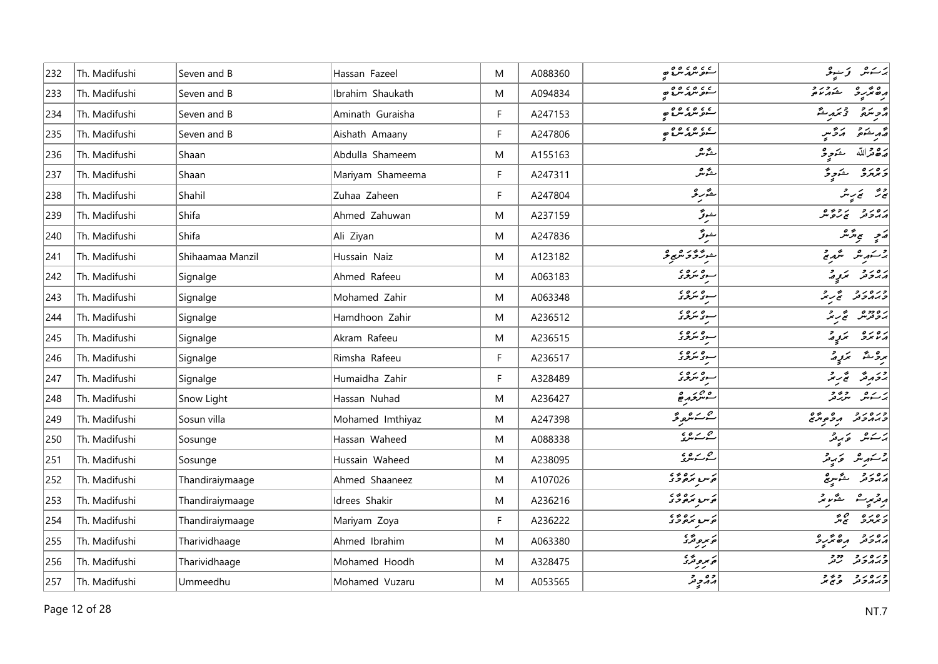| 232 | Th. Madifushi | Seven and B      | Hassan Fazeel    | M         | A088360 | ، ، ، ، ، ، ، ،<br>سوءِ سرمرسو تو   | زىستەر كەنبەبى                                |
|-----|---------------|------------------|------------------|-----------|---------|-------------------------------------|-----------------------------------------------|
| 233 | Th. Madifushi | Seven and B      | Ibrahim Shaukath | M         | A094834 | ے <sub>ی</sub> وے وہ م              | ە ھەترىرى<br>مەھىرىرى<br>شەدرىم               |
| 234 | Th. Madifushi | Seven and B      | Aminath Guraisha | F         | A247153 | ے <sub>ی</sub> وے وہ م              | أأروسه<br>چ تر پر شگ                          |
| 235 | Th. Madifushi | Seven and B      | Aishath Amaany   | F         | A247806 | ، ، ، ، ، ، ، ،<br>سوسمه سروم       | و<br>مگهر شوه <sub>و</sub><br>رتو<br>د ځ      |
| 236 | Th. Madifushi | Shaan            | Abdulla Shameem  | M         | A155163 | شەھر                                | ەھىراللە<br>شَوود                             |
| 237 | Th. Madifushi | Shaan            | Mariyam Shameema | F         | A247311 | شەھر                                | شكور و<br>ر ه ر ه<br><del>ر</del> بربرو       |
| 238 | Th. Madifushi | Shahil           | Zuhaa Zaheen     | F         | A247804 | ىشەر بۇ<br>$\overline{\phantom{a}}$ | و ديگر جي په شر<br>مورد شعبي جي په شر         |
| 239 | Th. Madifushi | Shifa            | Ahmed Zahuwan    | M         | A237159 | شوارٌ<br>م                          | גפניק גרובים                                  |
| 240 | Th. Madifushi | Shifa            | Ali Ziyan        | M         | A247836 | خەق                                 | أەسم ئەرگە                                    |
| 241 | Th. Madifushi | Shihaamaa Manzil | Hussain Naiz     | M         | A123182 | ىشەر <i>ئا</i> ر ئەرىج تۇ           | برستهرش الشريح                                |
| 242 | Th. Madifushi | Signalge         | Ahmed Rafeeu     | M         | A063183 | ے مرہ ی<br>سوئی سرچری               | ر ه ر د<br>پر پر <del>و</del> تر<br>بحروره    |
| 243 | Th. Madifushi | Signalge         | Mohamed Zahir    | ${\sf M}$ | A063348 | ا ده بره و ده<br>په مرد د           | پچ ریز<br>پخ ریمر<br>و رە ر د<br>تر پر تر تر  |
| 244 | Th. Madifushi | Signalge         | Hamdhoon Zahir   | M         | A236512 | سەرىسىۋى<br>بە                      | رەددە پەر<br>بەر تىرىش ت <mark>ە</mark> ربىر  |
| 245 | Th. Madifushi | Signalge         | Akram Rafeeu     | M         | A236515 | ە بەرە ي<br>سىرتى ئىرچرى            | ړه پرو پروړ                                   |
| 246 | Th. Madifushi | Signalge         | Rimsha Rafeeu    | F         | A236517 | ہ رہ ر<br>–دی سربوی                 | أمرده مشر<br>بر و د                           |
| 247 | Th. Madifushi | Signalge         | Humaidha Zahir   | F         | A328489 | سەر ئىرى <i>ۋ</i> ى<br>بە           | برىخ مرقتر<br>پچ ريز                          |
| 248 | Th. Madifushi | Snow Light       | Hassan Nuhad     | M         | A236427 | يدهم وهجرم                          | ىر سەھرە ئەھرى <i>تە</i>                      |
| 249 | Th. Madifushi | Sosun villa      | Mohamed Imthiyaz | M         | A247398 | <u>ح سەمبرو ئە</u>                  | و ر ه ر د<br>د بر پر تر<br>بروجوزيج           |
| 250 | Th. Madifushi | Sosunge          | Hassan Waheed    | M         | A088338 | <u>مى ئەيدى</u>                     | يُرَسَدَسُ الْأَرْسُ                          |
| 251 | Th. Madifushi | Sosunge          | Hussain Waheed   | M         | A238095 | تنكه سكرهري                         | برستهرش كالبيتر                               |
| 252 | Th. Madifushi | Thandiraiymaage  | Ahmed Shaaneez   | M         | A107026 | ە ئىسىم ئىرە دى                     | ر ە ر د<br>م.ر 5 تر<br>ڪ سرچ                  |
| 253 | Th. Madifushi | Thandiraiymaage  | Idrees Shakir    | M         | A236216 | ەس ئەھ دى                           | روزېږے ځین پر<br>مرگز                         |
| 254 | Th. Madifushi | Thandiraiymaage  | Mariyam Zoya     | F         | A236222 | ە سرىم بۇ                           | ر ه ر ه<br><del>د</del> بر پر<br>م بر<br>مح   |
| 255 | Th. Madifushi | Tharividhaage    | Ahmed Ibrahim    | M         | A063380 | ه مرمومر <sup>ي</sup><br>مرم        | ە ھەتترىر 3<br>پر 2 پر 3                      |
| 256 | Th. Madifushi | Tharividhaage    | Mohamed Hoodh    | M         | A328475 | ئەسرەپىرى<br>م                      | و ره ر د<br><i>و پر</i> و تر<br>ود و<br>مرتعر |
| 257 | Th. Madifushi | Ummeedhu         | Mohamed Vuzaru   | ${\sf M}$ | A053565 | د ه د په<br>مرم په                  | כנסנכ כמב<br>כגונכנג פאצ                      |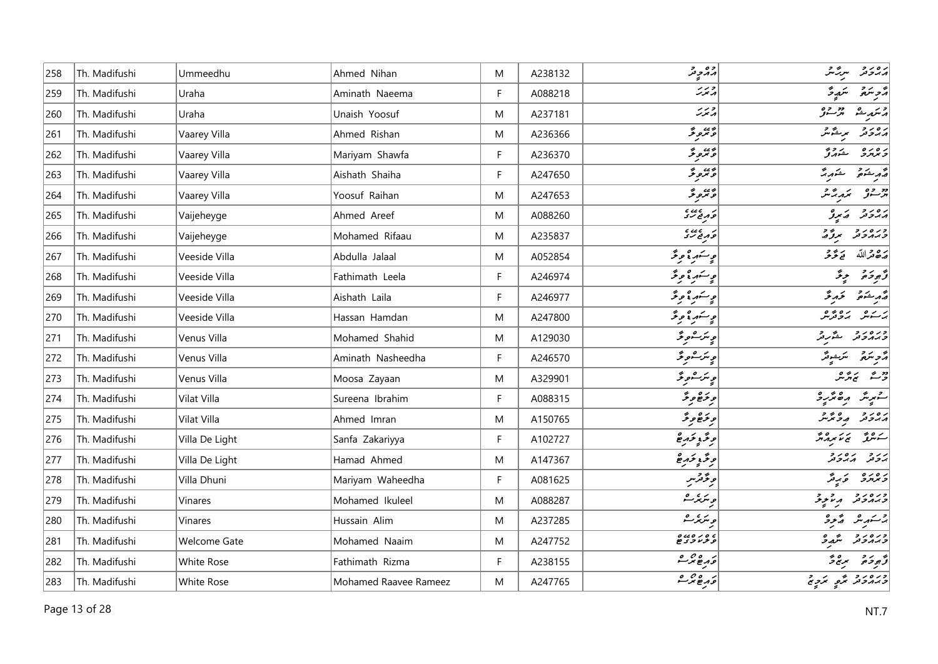| 258 | Th. Madifushi | Ummeedhu            | Ahmed Nihan           | M  | A238132 | د ه د په<br>مرم په                      | سررتمىتر<br>بر ہ بر د<br>م <i>ر</i> بر <del>د</del> تر                                                                                                                                                 |
|-----|---------------|---------------------|-----------------------|----|---------|-----------------------------------------|--------------------------------------------------------------------------------------------------------------------------------------------------------------------------------------------------------|
| 259 | Th. Madifushi | Uraha               | Aminath Naeema        | F  | A088218 | برىرىر                                  | سَمَدٍ تَرُ<br>أثربر مرد                                                                                                                                                                               |
| 260 | Th. Madifushi | Uraha               | Unaish Yoosuf         | M  | A237181 | برسر                                    | جسمه شده و ده<br>مشهد ش                                                                                                                                                                                |
| 261 | Th. Madifushi | Vaarey Villa        | Ahmed Rishan          | M  | A236366 | و بر<br>و تر <sub>حو</sub> څه           | بر ه بر و<br>م <i>رکز</i> قر<br>ىرىشەشر                                                                                                                                                                |
| 262 | Th. Madifushi | Vaarey Villa        | Mariyam Shawfa        | F. | A236370 | و پر<br>و تر <sub>حو</sub> څ            | ے پڑتھ<br>ر ه ر ه<br><del>ر</del> بربرگ                                                                                                                                                                |
| 263 | Th. Madifushi | Vaarey Villa        | Aishath Shaiha        | F  | A247650 | ۇ يىمبرۇ                                | وكرمشكم الشرور                                                                                                                                                                                         |
| 264 | Th. Madifushi | Vaarey Villa        | Yoosuf Raihan         | M  | A247653 | ۇئىروقر                                 | دو وه<br>مرسوفو محمد برگسر                                                                                                                                                                             |
| 265 | Th. Madifushi | Vaijeheyge          | Ahmed Areef           | M  | A088260 | ر<br>تو در ج ر د                        | أرور و بريو                                                                                                                                                                                            |
| 266 | Th. Madifushi | Vaijeheyge          | Mohamed Rifaau        | M  | A235837 | ر<br>ود و رو د                          | כנסני תצבי                                                                                                                                                                                             |
| 267 | Th. Madifushi | Veeside Villa       | Abdulla Jalaal        | M  | A052854 | ءٍ سَنهرٍ؟ ء ِ تَرُ                     | پر چ تر اللّه ۔ تح تحریحر                                                                                                                                                                              |
| 268 | Th. Madifushi | Veeside Villa       | Fathimath Leela       | F  | A246974 | ءِ سَهرِ ۽ وِ ڦُ                        | أزوده ببذ                                                                                                                                                                                              |
| 269 | Th. Madifushi | Veeside Villa       | Aishath Laila         | F  | A246977 | ە سەر ؟ دېڅه                            | مأمر يشتمى تحديثى                                                                                                                                                                                      |
| 270 | Th. Madifushi | Veeside Villa       | Hassan Hamdan         | M  | A247800 | ە يەنبەر قورۇ                           | بركسته برومته                                                                                                                                                                                          |
| 271 | Th. Madifushi | Venus Villa         | Mohamed Shahid        | M  | A129030 | وبترسشوقر                               | ورەرو شەرىر                                                                                                                                                                                            |
| 272 | Th. Madifushi | Venus Villa         | Aminath Nasheedha     | F  | A246570 | <sub>ع</sub> و متر ش <sub>ەھرى</sub> تى |                                                                                                                                                                                                        |
| 273 | Th. Madifushi | Venus Villa         | Moosa Zayaan          | M  | A329901 | ء يئر شوء قر                            | وری بروه                                                                                                                                                                                               |
| 274 | Th. Madifushi | Vilat Villa         | Sureena Ibrahim       | F. | A088315 | وتزهوقر                                 | شمېرىن مەھترىرد                                                                                                                                                                                        |
| 275 | Th. Madifushi | Vilat Villa         | Ahmed Imran           | M  | A150765 | وِ وَ§وِ وَّ                            | ره ر و مده و د<br>  در رو در مدین                                                                                                                                                                      |
| 276 | Th. Madifushi | Villa De Light      | Sanfa Zakariyya       | F  | A102727 | و محْمدٍ حَرمٍ عَ                       | $\begin{array}{cc} \mathcal{L}_{\mathcal{P}} & \mathcal{L}_{\mathcal{P}} & \mathcal{L}_{\mathcal{P}} \\ \mathcal{L}_{\mathcal{P}} & \mathcal{L}_{\mathcal{P}} & \mathcal{L}_{\mathcal{P}} \end{array}$ |
| 277 | Th. Madifushi | Villa De Light      | Hamad Ahmed           | M  | A147367 | وقحوخره                                 | رر د ده د و د<br>برگاند مرکز مرکز                                                                                                                                                                      |
| 278 | Th. Madifushi | Villa Dhuni         | Mariyam Waheedha      | F  | A081625 | وقرقرسر                                 | د ۱۵ ژ وگړوگر                                                                                                                                                                                          |
| 279 | Th. Madifushi | Vinares             | Mohamed Ikuleel       | M  | A088287 | وبئر پڑے                                | ورەرو رىيوۋ                                                                                                                                                                                            |
| 280 | Th. Madifushi | Vinares             | Hussain Alim          | M  | A237285 | المحتفظية                               | يز سكر شر محرور و                                                                                                                                                                                      |
| 281 | Th. Madifushi | <b>Welcome Gate</b> | Mohamed Naaim         | M  | A247752 | s o v o v o c<br>R K Y Y Y              | ورەر ئەھرۇ                                                                                                                                                                                             |
| 282 | Th. Madifushi | <b>White Rose</b>   | Fathimath Rizma       | F  | A238155 | كجره عرث                                | توجوخو برجوح                                                                                                                                                                                           |
| 283 | Th. Madifushi | White Rose          | Mohamed Raavee Rameez | M  | A247765 | 28800                                   | وره رو گرو گرو و                                                                                                                                                                                       |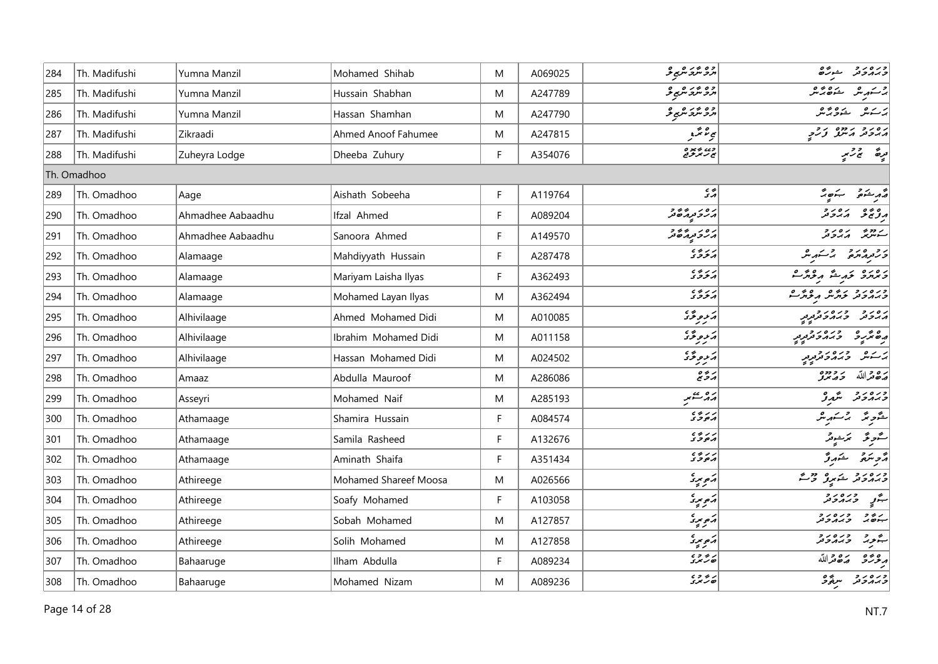| 284 | Th. Madifushi | Yumna Manzil      | Mohamed Shihab        | M  | A069025 | وه پر و<br>مرد مرد مربح څر                 | ورەر د دە                                      |
|-----|---------------|-------------------|-----------------------|----|---------|--------------------------------------------|------------------------------------------------|
| 285 | Th. Madifushi | Yumna Manzil      | Hussain Shabhan       | M  | A247789 | وه پر پ <sub>ه چ</sub>                     | بر شرمر شره بره م                              |
| 286 | Th. Madifushi | Yumna Manzil      | Hassan Shamhan        | Μ  | A247790 | ده مرد مربو د                              | يُسَدَسُ شَوْرُتُسُ                            |
| 287 | Th. Madifushi | Zikraadi          | Ahmed Anoof Fahumee   | M  | A247815 | ىي نۇمۇرىم                                 | נפני גדום צב <sub>יב</sub>                     |
| 288 | Th. Madifushi | Zuheyra Lodge     | Dheeba Zuhury         | F  | A354076 | و در پر بیر ہ<br>بح مر <del>م</del> رمز فع | وره ج <sup>و</sup> مړ                          |
|     | Th. Omadhoo   |                   |                       |    |         |                                            |                                                |
| 289 | Th. Omadhoo   | Aage              | Aishath Sobeeha       | F  | A119764 | پوءِ<br>مري                                | $rac{1}{2}$                                    |
| 290 | Th. Omadhoo   | Ahmadhee Aabaadhu | Ifzal Ahmed           | F  | A089204 | ر ه ر په پرو<br>مرکز ترم <sup>ځو</sup>     | ودي د در د                                     |
| 291 | Th. Omadhoo   | Ahmadhee Aabaadhu | Sanoora Ahmed         | F  | A149570 | ىر 2 دىر ئەرە<br>مەركى تەرىخ               | ستصريح الروار و                                |
| 292 | Th. Omadhoo   | Alamaage          | Mahdiyyath Hussain    | F  | A287478 | پر پر پر                                   | ورمهد مرد و مسكن الله الله الله                |
| 293 | Th. Omadhoo   | Alamaage          | Mariyam Laisha Ilyas  | F. | A362493 | پر پر پر                                   | دەرە ئەر ئەر مەدەب                             |
| 294 | Th. Omadhoo   | Alamaage          | Mohamed Layan Ilyas   | M  | A362494 | ر ر ه ،<br>پرنوبر                          | כנסנכ נפס קפתים                                |
| 295 | Th. Omadhoo   | Alhivilaage       | Ahmed Mohamed Didi    | Μ  | A010085 | <br> ړیره یو دی                            | ره رو د وره رو در در<br>م.پروتر و په دو ترترتر |
| 296 | Th. Omadhoo   | Alhivilaage       | Ibrahim Mohamed Didi  | M  | A011158 | د کرد و څر                                 | و هنگرد و دور و در د                           |
| 297 | Th. Omadhoo   | Alhivilaage       | Hassan Mohamed Didi   | M  | A024502 | ەكمەرە ئۇتى                                | ر رو دره رو<br>برخش دبه دبربر                  |
| 298 | Th. Omadhoo   | Amaaz             | Abdulla Mauroof       | M  | A286086 | روه                                        | أرەقراللە جەمعى                                |
| 299 | Th. Omadhoo   | Asseyri           | Mohamed Naif          | M  | A285193 | بره <sup>ی</sup> بر                        | ورەر د شهر                                     |
| 300 | Th. Omadhoo   | Athamaage         | Shamira Hussain       | F  | A084574 | ر ر د »<br>پره <del>ر</del> ر              | لحكوبتى الركسكريش                              |
| 301 | Th. Omadhoo   | Athamaage         | Samila Rasheed        | F  | A132676 | ر ر د د<br>پره <del>د</del> د              | سكوفى المرشوقر                                 |
| 302 | Th. Omadhoo   | Athamaage         | Aminath Shaifa        | F  | A351434 | ر ر د »<br>پره <del>ر</del> ر              | أروسكم شركر                                    |
| 303 | Th. Omadhoo   | Athireege         | Mohamed Shareef Moosa | Μ  | A026566 | ړ<br>مرموسونه                              | ورەرو خىرو ورځ                                 |
| 304 | Th. Omadhoo   | Athireege         | Soafy Mohamed         | F  | A103058 | ر<br>مرموسور                               | شمو وره دو                                     |
| 305 | Th. Omadhoo   | Athireege         | Sobah Mohamed         | M  | A127857 | ړ<br>مرموسونه                              | ر د دره دره<br>پختې درماد                      |
| 306 | Th. Omadhoo   | Athireege         | Solih Mohamed         | M  | A127858 | ړ<br>مرموسونه                              | سڈمریز<br>و بره بر و<br>تر برگرفتر             |
| 307 | Th. Omadhoo   | Bahaaruge         | Ilham Abdulla         | F. | A089234 | ر و د ء<br>ن <i>ه ر</i> بو ړ               | مرمرمرم مكافرالله                              |
| 308 | Th. Omadhoo   | Bahaaruge         | Mohamed Nizam         | Μ  | A089236 | ر پر و ،<br>ن <i>نا تر</i> و               | ورەرو سۆۋ                                      |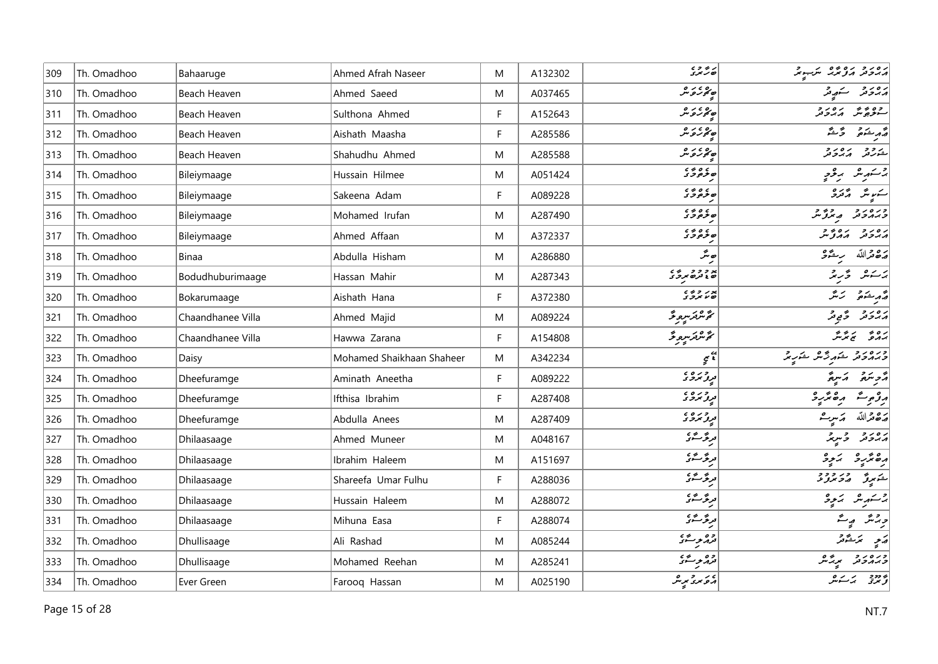| 309 | Th. Omadhoo | Bahaaruge         | Ahmed Afrah Naseer        | M  | A132302 | ر پر و ،<br><mark>ن</mark> تر بو <u>،</u> | ره رو ره ده شهر مرسور              |
|-----|-------------|-------------------|---------------------------|----|---------|-------------------------------------------|------------------------------------|
| 310 | Th. Omadhoo | Beach Heaven      | Ahmed Saeed               | M  | A037465 | ە ئەمرىر بىر<br>مەمۇرىرىش                 | دەرو سەھەتىر                       |
| 311 | Th. Omadhoo | Beach Heaven      | Sulthona Ahmed            | F. | A152643 | پەنزوتىر                                  | روه پر برورد                       |
| 312 | Th. Omadhoo | Beach Heaven      | Aishath Maasha            | F  | A285586 | پەنزىر ش                                  | أمار مشكاة المحاشا                 |
| 313 | Th. Omadhoo | Beach Heaven      | Shahudhu Ahmed            | M  | A285588 | ھەممەرچە تەر                              | روو ده رو                          |
| 314 | Th. Omadhoo | Bileiymaage       | Hussain Hilmee            | M  | A051424 | <br> حوفووی                               | برسكريثر برقرمي                    |
| 315 | Th. Omadhoo | Bileiymaage       | Sakeena Adam              | F  | A089228 | ، ه ه ه »<br>د خوڅ د د                    | سكيانتش المرفرق                    |
| 316 | Th. Omadhoo | Bileiymaage       | Mohamed Irufan            | M  | A287490 | ے صدر یہ<br>موضوح <sub>ک</sub>            | وره رو ه وو و<br>حدمدوند معرف      |
| 317 | Th. Omadhoo | Bileiymaage       | Ahmed Affaan              | M  | A372337 | ، ه ه ه »<br>د حرم و د                    | أرور و روم و                       |
| 318 | Th. Omadhoo | <b>Binaa</b>      | Abdulla Hisham            | M  | A286880 | ھ سگر                                     | 20 مرالله ب-مؤمر                   |
| 319 | Th. Omadhoo | Bodudhuburimaage  | Hassan Mahir              | M  | A287343 | پر د و د پروند<br>  حا د ترخ بروند        | ىز سەش ئۇرىر                       |
| 320 | Th. Omadhoo | Bokarumaage       | Aishath Hana              | F  | A372380 | پر ر و د و<br><i>ه تا پر و</i> د          | ە ئەسسىم ئىتر                      |
| 321 | Th. Omadhoo | Chaandhanee Villa | Ahmed Majid               | M  | A089224 | ىمەمىرىكىز <sub>سو</sub> يۇ               | پرور و و پر                        |
| 322 | Th. Omadhoo | Chaandhanee Villa | Hawwa Zarana              | F. | A154808 | ى<br>ئۇنىرىئر س <sub>ى</sub> رىتى         | رەپ <sub>ە</sub> رەپر              |
| 323 | Th. Omadhoo | Daisy             | Mohamed Shaikhaan Shaheer | M  | A342234 | يم<br>مع سمج                              | ورەرو خىرگىر خىرىگ                 |
| 324 | Th. Omadhoo | Dheefuramge       | Aminath Aneetha           | F  | A089222 | و <i>و د</i> ه و و<br>مرو ترو د           |                                    |
| 325 | Th. Omadhoo | Dheefuramge       | Ifthisa Ibrahim           | F. | A287408 | مرونجرو ء                                 | أدوسم أرسم<br>أروسكا أرسم المستورة |
| 326 | Th. Omadhoo | Dheefuramge       | Abdulla Anees             | M  | A287409 | در ۶ پره ۶                                | بره والله مرسي                     |
| 327 | Th. Omadhoo | Dhilaasaage       | Ahmed Muneer              | M  | A048167 | مرتز کشیمی<br>  مرتز کشیمی                | أرور ومرتج والمعرجي                |
| 328 | Th. Omadhoo | Dhilaasaage       | Ibrahim Haleem            | M  | A151697 | مرتَرْسَتْرَى                             | ەھترىرى ئەيرى<br>رەتترىق ئىي       |
| 329 | Th. Omadhoo | Dhilaasaage       | Shareefa Umar Fulhu       | F  | A288036 | ترقر گريج                                 | شىرۇ مەددە                         |
| 330 | Th. Omadhoo | Dhilaasaage       | Hussain Haleem            | M  | A288072 | ەرگۇرىچى                                  | ج سەر شەر بە بەر ج                 |
| 331 | Th. Omadhoo | Dhilaasaage       | Mihuna Easa               | F. | A288074 | درگر گري                                  | در شهر میگر                        |
| 332 | Th. Omadhoo | Dhullisaage       | Ali Rashad                | M  | A085244 | قرە ھوسىمى                                | رَمِ - بَرَحْتَمَرْ                |
| 333 | Th. Omadhoo | Dhullisaage       | Mohamed Reehan            | M  | A285241 | لتروم مستمو                               | ورەرو بېرتىر                       |
| 334 | Th. Omadhoo | Ever Green        | Farooq Hassan             | M  | A025190 | پر کا پر چر مر                            | ۇچۇ ئەسكەنلە                       |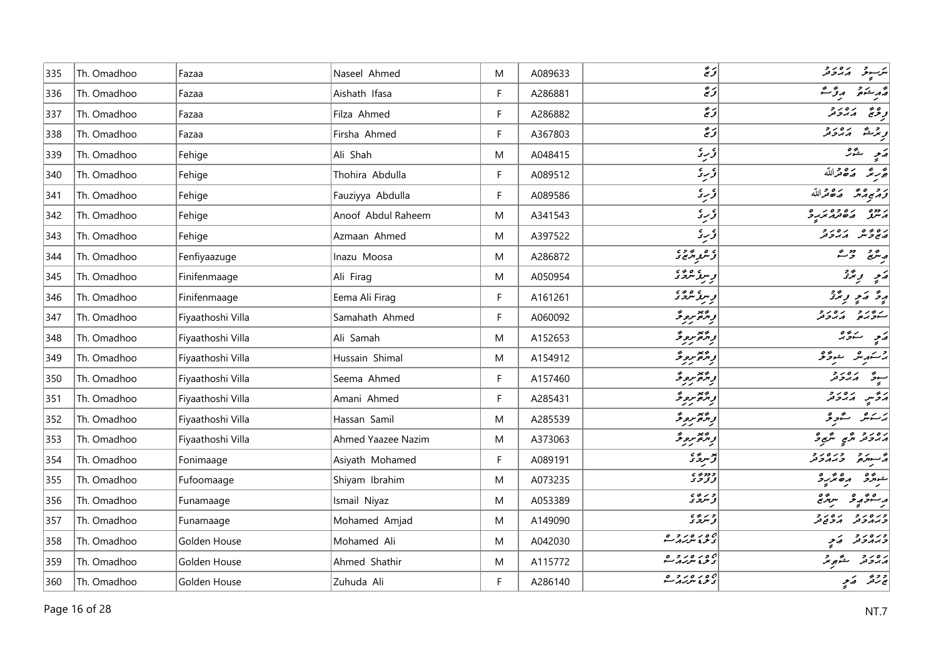| 335 | Th. Omadhoo | Fazaa             | Naseel Ahmed       | M         | A089633 | تريج                                   | أترسو أيرونه                                |
|-----|-------------|-------------------|--------------------|-----------|---------|----------------------------------------|---------------------------------------------|
| 336 | Th. Omadhoo | Fazaa             | Aishath Ifasa      | F         | A286881 | ترتج                                   | أقهر يشتعوا الرقر تتع                       |
| 337 | Th. Omadhoo | Fazaa             | Filza Ahmed        | F         | A286882 | ترتج                                   | وِ حَجَّ مَدَدَّمَّر                        |
| 338 | Th. Omadhoo | Fazaa             | Firsha Ahmed       | F         | A367803 | ترتج                                   | ويرثة<br>پروژبر                             |
| 339 | Th. Omadhoo | Fehige            | Ali Shah           | M         | A048415 | ې<br>توري                              | $2\frac{2}{3}$ $\frac{2}{3}$                |
| 340 | Th. Omadhoo | Fehige            | Thohira Abdulla    | F         | A089512 | ې ر <sub>ې</sub><br>تر <sub>مړ</sub> ر | پ <sup>ه</sup> پر بتر<br>وكافرالله          |
| 341 | Th. Omadhoo | Fehige            | Fauziyya Abdulla   | F         | A089586 | ې رې<br>گ                              | ترمي مهر كان محافظ الله                     |
| 342 | Th. Omadhoo | Fehige            | Anoof Abdul Raheem | ${\sf M}$ | A341543 | ې<br>توريخ                             | ג ככם גם כם גם                              |
| 343 | Th. Omadhoo | Fehige            | Azmaan Ahmed       | ${\sf M}$ | A397522 | ې<br>توري                              | גפיש גפני                                   |
| 344 | Th. Omadhoo | Fenfiyaazuge      | Inazu Moosa        | M         | A286872 | ې هروگړۍ<br>د شر <sub>و</sub> گړۍ      | دو مشر<br>ەپەتتى                            |
| 345 | Th. Omadhoo | Finifenmaage      | Ali Firag          | M         | A050954 | و سرڈ شر <i>ڈ</i> ڈ                    | ړې ویژو                                     |
| 346 | Th. Omadhoo | Finifenmaage      | Eema Ali Firag     | F         | A161261 | اوسۇپرچ                                | رځ <sub>مکمن</sub> ویژنۍ                    |
| 347 | Th. Omadhoo | Fiyaathoshi Villa | Samahath Ahmed     | F         | A060092 | ر پېړې پره د ځه<br>ابر شم <u>رک</u>    | $5.201$ $7.51$                              |
| 348 | Th. Omadhoo | Fiyaathoshi Villa | Ali Samah          | ${\sf M}$ | A152653 | و پژېموره د گ                          | أەيج سىۋە                                   |
| 349 | Th. Omadhoo | Fiyaathoshi Villa | Hussain Shimal     | M         | A154912 | و پژ <sub>یخ مره م</sub> ژ             | چەسەر شەھ ھەر                               |
| 350 | Th. Omadhoo | Fiyaathoshi Villa | Seema Ahmed        | F         | A157460 | ويژة سره څه                            | سوځ د برو در                                |
| 351 | Th. Omadhoo | Fiyaathoshi Villa | Amani Ahmed        | F         | A285431 | ر پېړې<br>ارتري <i>م برو</i> څ         | أروه أرورو                                  |
| 352 | Th. Omadhoo | Fiyaathoshi Villa | Hassan Samil       | M         | A285539 | و پژېڅ مره د څه                        | ىز سەش سەھ بىر                              |
| 353 | Th. Omadhoo | Fiyaathoshi Villa | Ahmed Yaazee Nazim | M         | A373063 | ر<br>د د هموره مره<br>د                |                                             |
| 354 | Th. Omadhoo | Fonimaage         | Asiyath Mohamed    | F         | A089191 | بر<br>تر سرچ <sup>ی</sup>              | ו ני כנסנים<br>ג' ייו <i>תים בג</i> בבת     |
| 355 | Th. Omadhoo | Fufoomaage        | Shiyam Ibrahim     | ${\sf M}$ | A073235 | و دو بو بر<br>تو تو <del>تر</del> تر   | اڪويڙو<br>ڪ<br>ەرھ ئ <sup>ۆ</sup> ر ۋ       |
| 356 | Th. Omadhoo | Funamaage         | Ismail Niyaz       | ${\sf M}$ | A053389 | و ر د د<br>و سرچ د                     | وكور و سر                                   |
| 357 | Th. Omadhoo | Funamaage         | Mohamed Amjad      | ${\sf M}$ | A149090 | و ر د ،<br>و سرچ د                     | و ره ر د<br><i>و پر</i> پر تر<br>پر 3 نے فر |
| 358 | Th. Omadhoo | Golden House      | Mohamed Ali        | ${\sf M}$ | A042030 | ە ە رەر دە<br>ئەمەنە مەركەت            | و ر ه ر د<br>تر پر ژ تر<br>ەتىر             |
| 359 | Th. Omadhoo | Golden House      | Ahmed Shathir      | M         | A115772 | ە ە ر ە ر د مە                         | پر ور و                                     |
| 360 | Th. Omadhoo | Golden House      | Zuhuda Ali         | F         | A286140 | ە ە رەر دەر                            | لى ئەشر كەيپ                                |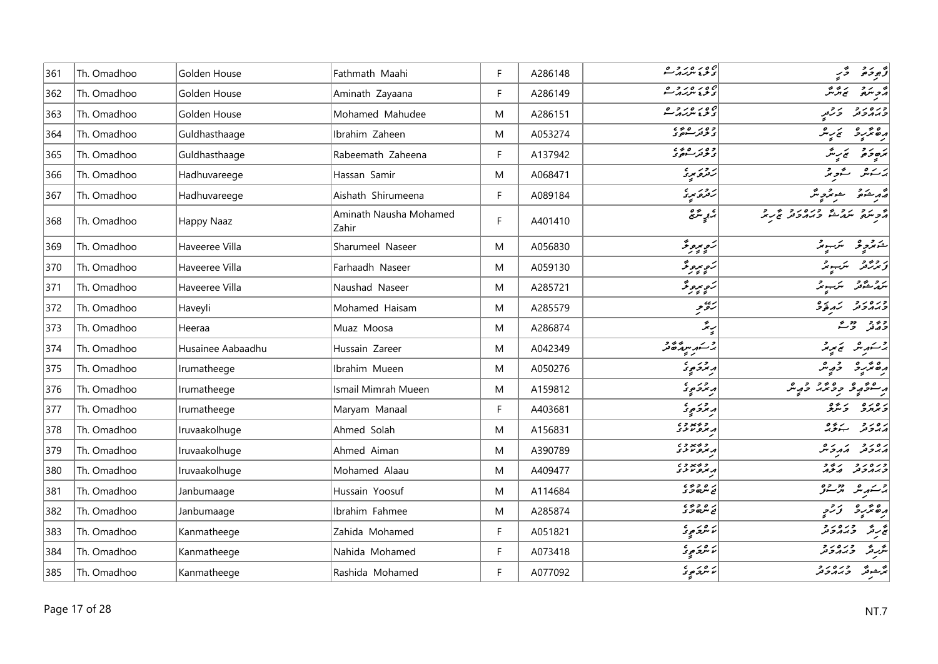| 361 | Th. Omadhoo | Golden House      | Fathmath Maahi                  | F  | A286148 | ە ە رە رومە<br>ئىمى ئىرىدەك               | رحجي<br>و محرم در<br>مستقبل محمد                           |
|-----|-------------|-------------------|---------------------------------|----|---------|-------------------------------------------|------------------------------------------------------------|
| 362 | Th. Omadhoo | Golden House      | Aminath Zayaana                 | F  | A286149 | ە دېر دېر د ه<br>د نوع مرکز کر            | أرمز<br>ىر ئۇرىتىر                                         |
| 363 | Th. Omadhoo | Golden House      | Mohamed Mahudee                 | M  | A286151 | ە مەر مەر جەم<br>ئىسىم ئىر ئەرگە          | ورەر در دېر                                                |
| 364 | Th. Omadhoo | Guldhasthaage     | Ibrahim Zaheen                  | M  | A053274 | و ه بر _ه پر بر<br>بر موتور سوه بر        | ەرھ ئ <sup>ۆ</sup> ر ۋ<br>ئىچ بەشر                         |
| 365 | Th. Omadhoo | Guldhasthaage     | Rabeemath Zaheena               | F. | A137942 | و ه د ره پو ،<br>د <del>ن</del> رتر شهو د | پرڻ ج <sup>و</sup><br>ىچ پە ئىگر                           |
| 366 | Th. Omadhoo | Hadhuvareege      | Hassan Samir                    | M  | A068471 | تەقىرى مېرىتى                             | برسەيىتە<br>ستگر مر                                        |
| 367 | Th. Omadhoo | Hadhuvareege      | Aishath Shirumeena              | F  | A089184 | ر ور<br>ر تره <sub>مو</sub> ر             | ۇرمۇق ھوترى ئى                                             |
| 368 | Th. Omadhoo | Happy Naaz        | Aminath Nausha Mohamed<br>Zahir | F  | A401410 | بزبر يثرج                                 | הכית מני כנסני היה                                         |
| 369 | Th. Omadhoo | Haveeree Villa    | Sharumeel Naseer                | M  | A056830 | رَ <sub>ءِ موء</sub> و ٿُرُ               | لمشترور فتراتيني                                           |
| 370 | Th. Omadhoo | Haveeree Villa    | Farhaadh Naseer                 | M  | A059130 | ر<br>ئوپۇرىق                              | ر دور سرب برگ<br>ویرزش سرب                                 |
| 371 | Th. Omadhoo | Haveeree Villa    | Naushad Naseer                  | M  | A285721 | رَ <sub>ءِ موء</sub> وڻَر                 | شروشقاقر اسكرجاني                                          |
| 372 | Th. Omadhoo | Haveyli           | Mohamed Haisam                  | M  | A285579 | رەيە<br>سۇم                               | ورەر دىر كەر                                               |
| 373 | Th. Omadhoo | Heeraa            | Muaz Moosa                      | M  | A286874 | رىچە                                      | وړنو ووگ                                                   |
| 374 | Th. Omadhoo | Husainee Aabaadhu | Hussain Zareer                  | M  | A042349 | ر کے مرسور تھا تر<br>مرسور تھا تھا ت      | يزخير شي تمير                                              |
| 375 | Th. Omadhoo | Irumatheege       | Ibrahim Mueen                   | M  | A050276 | ېر پر دې د <sup>م</sup>                   | ە ھەترىرى<br>برھەترىرى<br>څ په مګر                         |
| 376 | Th. Omadhoo | Irumatheege       | Ismail Mimrah Mueen             | M  | A159812 | وبردوء                                    | ړ هڅو څو د د پر د ور پر                                    |
| 377 | Th. Omadhoo | Irumatheege       | Maryam Manaal                   | F. | A403681 | ېر بر دې<br>بر بر دې                      | ر ه ر ه<br><del>ر</del> بربر ژ<br>ىز ئىزىۋ                 |
| 378 | Th. Omadhoo | Iruvaakolhuge     | Ahmed Solah                     | M  | A156831 | د و پر د د<br>د برو ما لر د               | ر ەر د<br>م.روتر<br>ىبە بۇر                                |
| 379 | Th. Omadhoo | Iruvaakolhuge     | Ahmed Aiman                     | M  | A390789 | د و پر د د<br>د برو ما نړۍ                | גפיק ג'גליל                                                |
| 380 | Th. Omadhoo | Iruvaakolhuge     | Mohamed Alaau                   | M  | A409477 | د پر پر د بر<br>در مربو ما مل ی           | כנסני ניבי<br>כגתכת היבה                                   |
| 381 | Th. Omadhoo | Janbumaage        | Hussain Yoosuf                  | M  | A114684 | ر ه د و و ،<br>قع سره تر د                | جر سے <sub>مر</sub> جو جاتا ہو جاتا ہے۔<br>بر سے مرد سے مر |
| 382 | Th. Omadhoo | Janbumaage        | Ibrahim Fahmee                  | M  | A285874 | ر ه د و و ،<br>د سره تر د                 | وە ئۆر ئەرج                                                |
| 383 | Th. Omadhoo | Kanmatheege       | Zahida Mohamed                  | F  | A051821 | بز مركز م <sub>و</sub> ر                  | تحريح وره دو                                               |
| 384 | Th. Omadhoo | Kanmatheege       | Nahida Mohamed                  | F  | A073418 | بزېږېدنه                                  | ىئزر تىر<br>ورەر د<br><i>دى</i> رمەتر                      |
| 385 | Th. Omadhoo | Kanmatheege       | Rashida Mohamed                 | F  | A077092 | ئەشرى <i>خ م</i> وتى                      | و دره دره<br>برخوش وبرووتر                                 |
|     |             |                   |                                 |    |         |                                           |                                                            |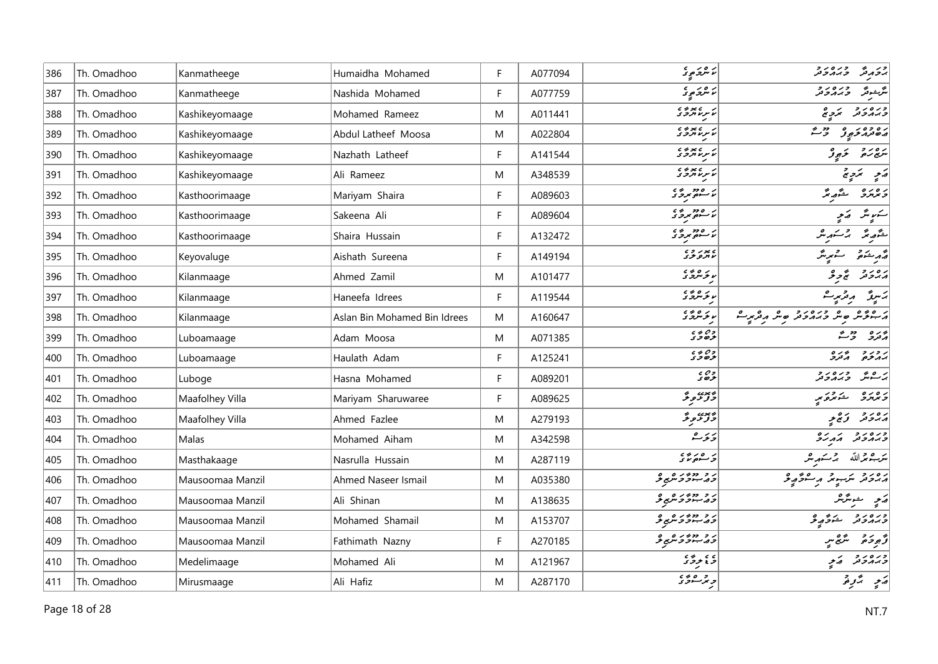| 386 | Th. Omadhoo | Kanmatheege      | Humaidha Mohamed             | F. | A077094 | ر ه ر<br>پاسر <sub>د ک</sub> وی            | و ره ر و<br><i>و پر</i> و تر<br>2 كەرى <i>گە</i> |
|-----|-------------|------------------|------------------------------|----|---------|--------------------------------------------|--------------------------------------------------|
| 387 | Th. Omadhoo | Kanmatheege      | Nashida Mohamed              | F  | A077759 | ر ه ر<br>پاسر <sub>چرمج</sub> و            | مگرشہ وگر<br>و رە ر د<br><i>د بر</i> گرىز        |
| 388 | Th. Omadhoo | Kashikeyomaage   | Mohamed Rameez               | M  | A011441 | ر پر ده د.<br>ما مرما افراد ک              | وره دو کرده                                      |
| 389 | Th. Omadhoo | Kashikeyomaage   | Abdul Latheef Moosa          | M  | A022804 | ر پر ده د.<br>ما مرما افرو د               | ر ە دەر<br>مەھىرمىز م <sub>ۇ</sub> ر<br>دين مشر  |
| 390 | Th. Omadhoo | Kashikeyomaage   | Nazhath Latheef              | F  | A141544 | ر سره پروسی<br>مرس                         | يرەر ئەم ئۇمۇل                                   |
| 391 | Th. Omadhoo | Kashikeyomaage   | Ali Rameez                   | M  | A348539 | ایر می پیوند به<br>اما مربع ورد ب          | أوسمج التمرحي                                    |
| 392 | Th. Omadhoo | Kasthoorimaage   | Mariyam Shaira               | F  | A089603 | ړ ۶۵۰۰ وي.<br>تر سوه برد د                 | وبروره<br>ڪُ مريگر                               |
| 393 | Th. Omadhoo | Kasthoorimaage   | Sakeena Ali                  | F  | A089604 | ر ده ده په ده<br>تا سوه برد د              | ستباش الأبي                                      |
| 394 | Th. Omadhoo | Kasthoorimaage   | Shaira Hussain               | F  | A132472 | پر ۱۶۵۵ وي.<br>  پر سوه مرد د              | شرور بر شر                                       |
| 395 | Th. Omadhoo | Keyovaluge       | Aishath Sureena              | F  | A149194 | ، پر ر و ،<br>ما آ <i>زه نژ</i> ر          | ۇرىشنى سىرىتر                                    |
| 396 | Th. Omadhoo | Kilanmaage       | Ahmed Zamil                  | M  | A101477 | ر ئەھەي ي                                  | رەر ئەر                                          |
| 397 | Th. Omadhoo | Kilanmaage       | Haneefa Idrees               | F  | A119544 | ارىز ھەيي                                  | ىكسرو مرتزىر م                                   |
| 398 | Th. Omadhoo | Kilanmaage       | Aslan Bin Mohamed Bin Idrees | M  | A160647 | لرېزېږي                                    | .<br>ג' היציית שיית כמגבת שיית גרתית -           |
| 399 | Th. Omadhoo | Luboamaage       | Adam Moosa                   | M  | A071385 | و <i>0 پ</i> ه  ي<br>مر <i>ه د</i> ک       | دومثر<br>پژره<br>د ترو                           |
| 400 | Th. Omadhoo | Luboamaage       | Haulath Adam                 | F  | A125241 | و <i>0 پ</i> ه ع<br>مر <i>ه</i> تر ی       | برور و<br>پور ہ<br>مرکز ژ                        |
| 401 | Th. Omadhoo | Luboge           | Hasna Mohamed                | F. | A089201 | و 0 ء<br>موھ ي                             | برُڪيگر<br>و رە ر د<br>تر پروتر                  |
| 402 | Th. Omadhoo | Maafolhey Villa  | Mariyam Sharuwaree           | F. | A089625 | دىيىيە ئە                                  | ويوبره<br>شە ئەركى ئېر                           |
| 403 | Th. Omadhoo | Maafolhey Villa  | Ahmed Fazlee                 | M  | A279193 | په پيړي <sub>چ</sub>                       | پره پر په توسيح په                               |
| 404 | Th. Omadhoo | Malas            | Mohamed Aiham                | M  | A342598 | ى ئەر ھ                                    | כנסני הגנכ                                       |
| 405 | Th. Omadhoo | Masthakaage      | Nasrulla Hussain             | M  | A287119 | ر ەر دى<br>ق <sup>ەس</sup> مى <i>تا</i> ي  | ىربە براللە برىكەرىر                             |
| 406 | Th. Omadhoo | Mausoomaa Manzil | <b>Ahmed Naseer Ismail</b>   | M  | A035380 | ر د پېړۍ شو و                              | رەرد شبېر رېشتمو                                 |
| 407 | Th. Omadhoo | Mausoomaa Manzil | Ali Shinan                   | M  | A138635 | ر כ- ככזי הם הם<br><i>כ</i> ול ה-ככל תוא ב | كەنچە سىيەتكەنگر                                 |
| 408 | Th. Omadhoo | Mausoomaa Manzil | Mohamed Shamail              | M  | A153707 | ر د دور ده ده چ                            | ورەرو شەۋەرى                                     |
| 409 | Th. Omadhoo | Mausoomaa Manzil | Fathimath Nazny              | F  | A270185 | ر د دور ده ده چ                            | ر مودة متناسبة                                   |
| 410 | Th. Omadhoo | Medelimaage      | Mohamed Ali                  | M  | A121967 | ې د وي.<br>د ډوگرۍ                         | و ر ه ر و<br>تر پر ژ تر                          |
| 411 | Th. Omadhoo | Mirusmaage       | Ali Hafiz                    | M  | A287170 | د بر شوی                                   | أتذمج الجمعرفو                                   |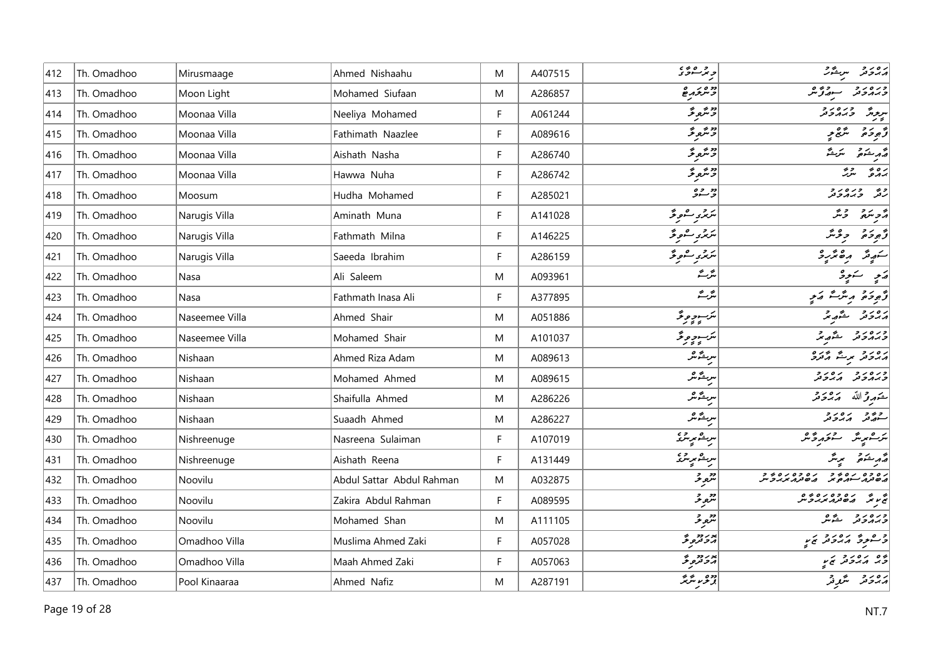| 412 | Th. Omadhoo | Mirusmaage     | Ahmed Nishaahu            | M | A407515 | په مره وي                              | أرور و سريقر                                                    |
|-----|-------------|----------------|---------------------------|---|---------|----------------------------------------|-----------------------------------------------------------------|
| 413 | Th. Omadhoo | Moon Light     | Mohamed Siufaan           | M | A286857 | ریویز مع                               | وره رو سوروه                                                    |
| 414 | Th. Omadhoo | Moonaa Villa   | Neeliya Mohamed           | F | A061244 | لرحمقرقر                               | תכת בגם גב                                                      |
| 415 | Th. Omadhoo | Moonaa Villa   | Fathimath Naazlee         | F | A089616 | لترشرعه                                | تزودخو شكامي                                                    |
| 416 | Th. Omadhoo | Moonaa Villa   | Aishath Nasha             | F | A286740 | لروشرورمحر                             | كمركز كرك                                                       |
| 417 | Th. Omadhoo | Moonaa Villa   | Hawwa Nuha                | F | A286742 | در مرگور گر                            | رەپ بەر                                                         |
| 418 | Th. Omadhoo | Moosum         | Hudha Mohamed             | F | A285021 | دد ره ه                                | و می دره رو<br>رنگر از <i>جد</i> ارونتر                         |
| 419 | Th. Omadhoo | Narugis Villa  | Aminath Muna              | F | A141028 | ىئر <i>پرېمو سى</i> مو ئ <sup>ۇ</sup>  | أأدم المحترم المحترم                                            |
| 420 | Th. Omadhoo | Narugis Villa  | Fathmath Milna            | F | A146225 | يرتز <sub>ىر</sub> سى <sub>مو</sub> تۇ | تزودة وفتر                                                      |
| 421 | Th. Omadhoo | Narugis Villa  | Saeeda Ibrahim            | F | A286159 | ىئەتترى <sub>ر</sub> مەھرىچە           |                                                                 |
| 422 | Th. Omadhoo | Nasa           | Ali Saleem                | M | A093961 | ىئرىشە                                 | ړې خود                                                          |
| 423 | Th. Omadhoo | <b>Nasa</b>    | Fathmath Inasa Ali        | F | A377895 | ىئرىشە                                 | وموده مشتر وبو                                                  |
| 424 | Th. Omadhoo | Naseemee Villa | Ahmed Shair               | M | A051886 | ىئرسوچە بۇ گە                          | رەرو شەرق                                                       |
| 425 | Th. Omadhoo | Naseemee Villa | Mohamed Shair             | M | A101037 | ىئەسىرە دۇ.<br>ئىستىقىنىش              | ورەرو شەرىر                                                     |
| 426 | Th. Omadhoo | Nishaan        | Ahmed Riza Adam           | M | A089613 | سرىشىر                                 | أرور و برت أرو                                                  |
| 427 | Th. Omadhoo | Nishaan        | Mohamed Ahmed             | M | A089615 | سرىشەشر                                | כנסנכ נסנכ                                                      |
| 428 | Th. Omadhoo | Nishaan        | Shaifulla Ahmed           | M | A286226 | سرڪرهر                                 | شمری الله محدد د                                                |
| 429 | Th. Omadhoo | Nishaan        | Suaadh Ahmed              | M | A286227 | اسبشق                                  | روبر د درو<br>سوړند که برونر                                    |
| 430 | Th. Omadhoo | Nishreenuge    | Nasreena Sulaiman         | F | A107019 | ڛڡ۠ؠؠڛػ                                | ىركىمېتى كۆرگىر                                                 |
| 431 | Th. Omadhoo | Nishreenuge    | Aishath Reena             | F | A131449 | سرىشە پرىدى<br>بر                      | ۇرىشقى بېرىگە                                                   |
| 432 | Th. Omadhoo | Noovilu        | Abdul Sattar Abdul Rahman | M | A032875 | يتره چر                                | נסכם נסטב נסכםנסטב<br>גם <i>נגר – וגס</i> ב גם <i>נגד</i> יניינ |
| 433 | Th. Omadhoo | Noovilu        | Zakira Abdul Rahman       | F | A089595 | لترعر فحر                              | 212010201212                                                    |
| 434 | Th. Omadhoo | Noovilu        | Mohamed Shan              | M | A111105 | يتر <sub>عر</sub> تحر                  | ورەرو شەھ                                                       |
| 435 | Th. Omadhoo | Omadhoo Villa  | Muslima Ahmed Zaki        | F | A057028 | بر در در<br>ارد تر <sub>حو</sub> گر    | وصوفر مددور نم                                                  |
| 436 | Th. Omadhoo | Omadhoo Villa  | Maah Ahmed Zaki           | F | A057063 | پر دورېږ                               |                                                                 |
| 437 | Th. Omadhoo | Pool Kinaaraa  | Ahmed Nafiz               | M | A287191 | ز ژوپرېتر تر                           | أرور و سمع قر                                                   |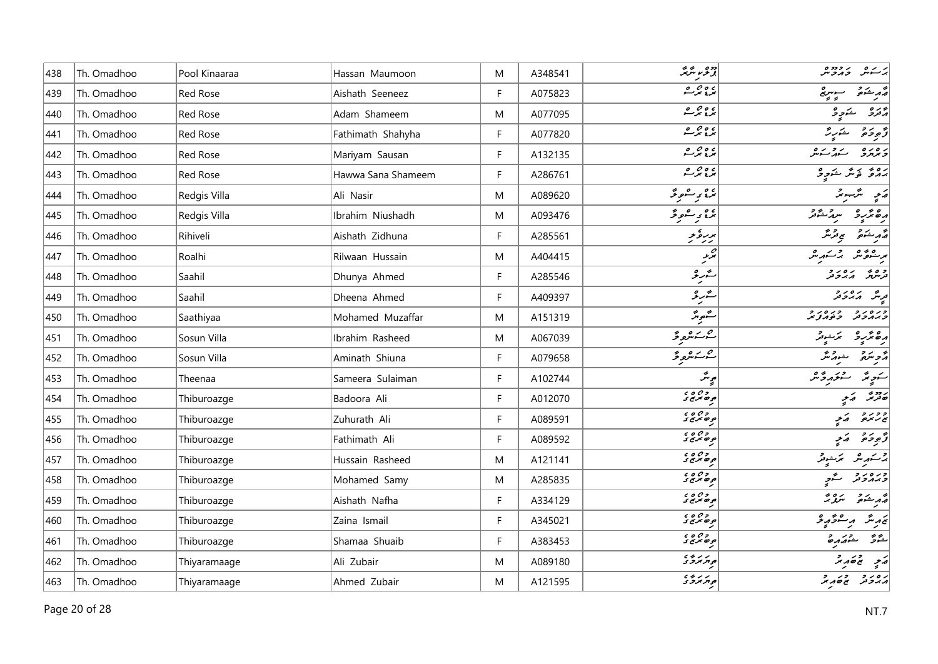| 438 | Th. Omadhoo | Pool Kinaaraa   | Hassan Maumoon     | M         | A348541 | ژوپرېترنتر                                        | يركبش ودووه                                                                                                                                                                                                                                                                                                                |
|-----|-------------|-----------------|--------------------|-----------|---------|---------------------------------------------------|----------------------------------------------------------------------------------------------------------------------------------------------------------------------------------------------------------------------------------------------------------------------------------------------------------------------------|
| 439 | Th. Omadhoo | <b>Red Rose</b> | Aishath Seeneez    | F         | A075823 | <sup>ي ه م</sup> ر مر<br>مربع مر م                | پ <sup>و</sup> مرشومو<br>م<br>سەمىرى<br>ئە                                                                                                                                                                                                                                                                                 |
| 440 | Th. Omadhoo | <b>Red Rose</b> | Adam Shameem       | ${\sf M}$ | A077095 | بره چرم                                           | پەرە<br>مەنىرى<br>شكور و                                                                                                                                                                                                                                                                                                   |
| 441 | Th. Omadhoo | Red Rose        | Fathimath Shahyha  | F         | A077820 | <sup>ی ه 0</sup> مر م                             | ق پر ده شکړ ش                                                                                                                                                                                                                                                                                                              |
| 442 | Th. Omadhoo | <b>Red Rose</b> | Mariyam Sausan     | F         | A132135 | <sup>ى ە ە</sup> مەر ھ                            | دەرە بەربەر                                                                                                                                                                                                                                                                                                                |
| 443 | Th. Omadhoo | Red Rose        | Hawwa Sana Shameem | F         | A286761 | ، ە ە مەر ھ                                       | پروگر پر گر گروگر                                                                                                                                                                                                                                                                                                          |
| 444 | Th. Omadhoo | Redgis Villa    | Ali Nasir          | ${\sf M}$ | A089620 | <sup>ی و</sup> ب <sub>و</sub> ش <sub>مو</sub> مځه | أوأجي التنزير                                                                                                                                                                                                                                                                                                              |
| 445 | Th. Omadhoo | Redgis Villa    | Ibrahim Niushadh   | ${\sf M}$ | A093476 | ، و د شوېڅه                                       | رەش ۋە سەرشۇش<br>رەشتىر ئەسىرسى<br>قەرشۇق بى تىش                                                                                                                                                                                                                                                                           |
| 446 | Th. Omadhoo | Rihiveli        | Aishath Zidhuna    | F         | A285561 | ىررى<br>ئرىر قىمىز                                |                                                                                                                                                                                                                                                                                                                            |
| 447 | Th. Omadhoo | Roalhi          | Rilwaan Hussain    | M         | A404415 | لهجور                                             | برشوق برحمه ش                                                                                                                                                                                                                                                                                                              |
| 448 | Th. Omadhoo | Saahil          | Dhunya Ahmed       | F         | A285546 | سەر بۇ                                            | و ه په مرد د<br>ترس کم کرکرد                                                                                                                                                                                                                                                                                               |
| 449 | Th. Omadhoo | Saahil          | Dheena Ahmed       | F         | A409397 | سەر بۇ                                            | م <sub>ی</sub> ریٹر پر مرد و                                                                                                                                                                                                                                                                                               |
| 450 | Th. Omadhoo | Saathiyaa       | Mohamed Muzaffar   | M         | A151319 | ستمعرش                                            | כנסגב בגסגב<br><i>בג</i> רכנג כפרניג                                                                                                                                                                                                                                                                                       |
| 451 | Th. Omadhoo | Sosun Villa     | Ibrahim Rasheed    | ${\sf M}$ | A067039 | السكستور                                          | رەترىر تىر<br>بەھترىر تىر                                                                                                                                                                                                                                                                                                  |
| 452 | Th. Omadhoo | Sosun Villa     | Aminath Shiuna     | F         | A079658 | <u>ش ئەشرو ئە</u>                                 |                                                                                                                                                                                                                                                                                                                            |
| 453 | Th. Omadhoo | Theenaa         | Sameera Sulaiman   | F         | A102744 | وپٽر                                              | سكوبة الشخورة                                                                                                                                                                                                                                                                                                              |
| 454 | Th. Omadhoo | Thiburoazge     | Badoora Ali        | F         | A012070 |                                                   | ردد در<br>ح <sup>ور</sup> بر د                                                                                                                                                                                                                                                                                             |
| 455 | Th. Omadhoo | Thiburoazge     | Zuhurath Ali       | F         | A089591 |                                                   | ح 2 پر ح<br>پح شر تعر حو<br>ەتىر                                                                                                                                                                                                                                                                                           |
| 456 | Th. Omadhoo | Thiburoazge     | Fathimath Ali      | F         | A089592 | $rac{1}{555500}$                                  | وٌموتر و<br>ەنىيە                                                                                                                                                                                                                                                                                                          |
| 457 | Th. Omadhoo | Thiburoazge     | Hussain Rasheed    | M         | A121141 |                                                   | وكسكر مكرجوم                                                                                                                                                                                                                                                                                                               |
| 458 | Th. Omadhoo | Thiburoazge     | Mohamed Samy       | M         | A285835 | و ۵ ۵ م<br>موھ مربح <sub>ک</sub>                  | وره رو گو                                                                                                                                                                                                                                                                                                                  |
| 459 | Th. Omadhoo | Thiburoazge     | Aishath Nafha      | F         | A334129 |                                                   | أمام المستور                                                                                                                                                                                                                                                                                                               |
| 460 | Th. Omadhoo | Thiburoazge     | Zaina Ismail       | F         | A345021 | $rac{1}{2}$                                       | ىم بىر شۇر بو                                                                                                                                                                                                                                                                                                              |
| 461 | Th. Omadhoo | Thiburoazge     | Shamaa Shuaib      | F         | A383453 | $rac{1}{5}$                                       | $\frac{3}{4}$                                                                                                                                                                                                                                                                                                              |
| 462 | Th. Omadhoo | Thiyaramaage    | Ali Zubair         | M         | A089180 | ر ر د د د<br>موهر پر ژ د                          | $\begin{bmatrix} 2 & 2 & 3 & 3 \\ 6 & 2 & 3 & 3 \\ 3 & 3 & 3 & 3 \\ 4 & 3 & 3 & 3 & 3 \\ 5 & 3 & 3 & 3 & 3 \\ 6 & 3 & 3 & 3 & 3 & 3 \\ 7 & 3 & 3 & 3 & 3 & 3 \\ 8 & 3 & 3 & 3 & 3 & 3 \\ 9 & 3 & 3 & 3 & 3 & 3 \\ 10 & 3 & 3 & 3 & 3 & 3 \\ 11 & 3 & 3 & 3 & 3 & 3 \\ 12 & 3 & 3 & 3 & 3 & 3 \\ 13 & 3 & 3 & 3 & 3 & 3 \\$ |
| 463 | Th. Omadhoo | Thiyaramaage    | Ahmed Zubair       | ${\sf M}$ | A121595 | مورتر پر پر<br> مورتر پر پر                       | גפנר כל ב                                                                                                                                                                                                                                                                                                                  |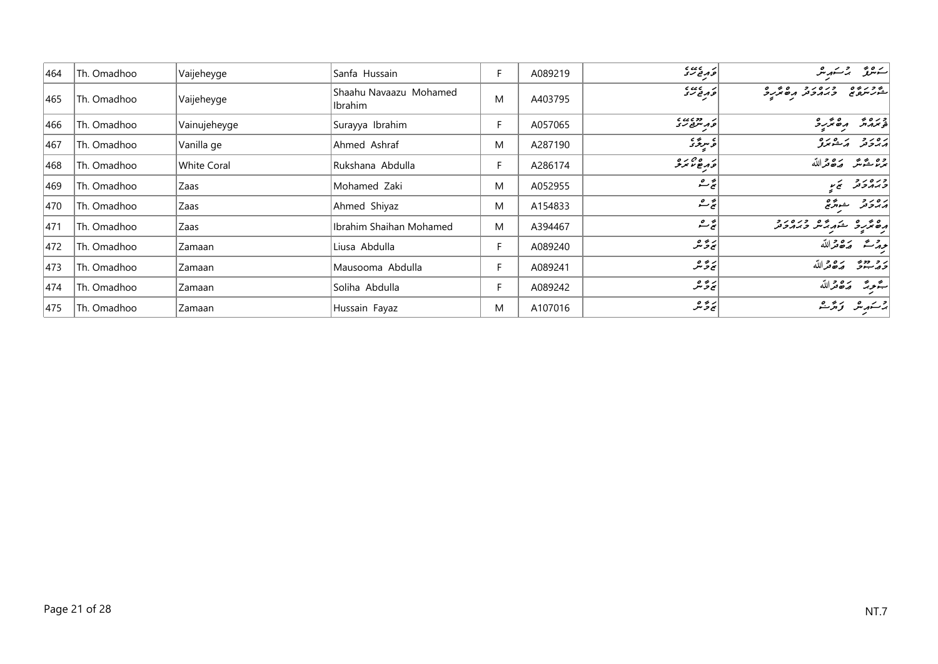| 464 | Th. Omadhoo | Vaijeheyge         | Sanfa Hussain                     | F | A089219 | ر م ده د و<br>د مربع سر د        | سەئىدۇ<br>برسود                                           |
|-----|-------------|--------------------|-----------------------------------|---|---------|----------------------------------|-----------------------------------------------------------|
| 465 | Th. Omadhoo | Vaijeheyge         | Shaahu Navaazu Mohamed<br>Ibrahim | M | A403795 | ر م ده د و<br>د مربع سر د        | شەر سىرە ج<br>כנים ניכן הסתנים                            |
| 466 | Th. Omadhoo | Vainujeheyge       | Surayya Ibrahim                   |   | A057065 | پر دون ده د<br>  تو پر سربی مر د | ج بر ۵ پر<br>  څو <del>ب</del> ر <i>۸</i> رگر<br>ەھ ترىرى |
| 467 | Th. Omadhoo | Vanilla ge         | Ahmed Ashraf                      | M | A287190 | ې سرنژۍ<br>حرمبربو <sub>ک</sub>  | ره رو بر دره ده                                           |
| 468 | Th. Omadhoo | <b>White Coral</b> | Rukshana Abdulla                  |   | A286174 | دره ۲۵ بره                       | بره څخه پره قرالله                                        |
| 469 | Th. Omadhoo | Zaas               | Mohamed Zaki                      | M | A052955 | چ مشر                            | و پر و پر و<br>د <i>پر ډ</i> ېر<br>بخي                    |
| 470 | Th. Omadhoo | Zaas               | Ahmed Shiyaz                      | M | A154833 | چ مشر                            | پر و تر و<br>شەدگرىج                                      |
| 471 | Th. Omadhoo | Zaas               | Ibrahim Shaihan Mohamed           | M | A394467 | چٌ ٿ                             | وه محرر و مشور معدد و دره در و                            |
| 472 | Th. Omadhoo | Zamaan             | Liusa Abdulla                     |   | A089240 | ىر ئە ھ<br>ئى خەشر               | وكافرالله<br>  برژیشه                                     |
| 473 | Th. Omadhoo | Zamaan             | Mausooma Abdulla                  |   | A089241 | ىر ئە ھ<br>ئى خەشر               | ار و دونو<br>ار در سور<br>برە قراللە                      |
| 474 | Th. Omadhoo | Zamaan             | Soliha Abdulla                    |   | A089242 | ىر ئە ھ<br>ئى خەشر               | سڈىرىر<br>مەھىراللە                                       |
| 475 | Th. Omadhoo | Zamaan             | Hussain Fayaz                     | M | A107016 | ىر ئەھ<br>ئى خەشر                | پرستهریش توپژیشہ                                          |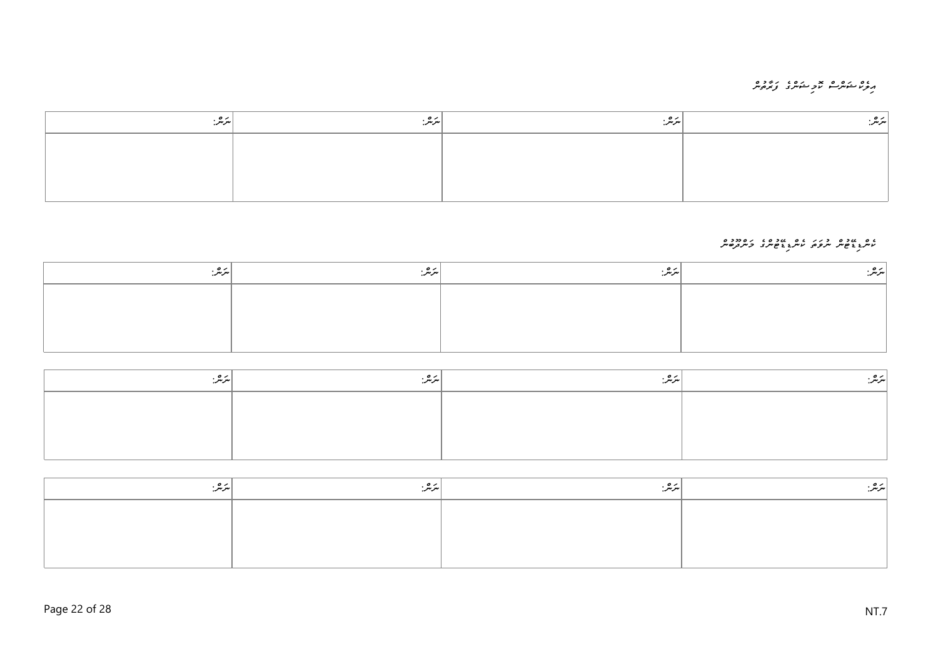## *w7qAn8m?sCw7mRo>u;wEw7mRw;sBo<*

| ' مرمر | 'يئرىثر: |
|--------|----------|
|        |          |
|        |          |
|        |          |

## *w7q9r@w7m>sCw7qHtFoFw7s;mAm=q7w7qHtFoFw7s;*

| ىر تە | $\mathcal{O} \times$<br>$\sim$ | $\sim$<br>. . | لترنثر |
|-------|--------------------------------|---------------|--------|
|       |                                |               |        |
|       |                                |               |        |
|       |                                |               |        |

| انترنثر: | $^{\circ}$ | يبرهر | $^{\circ}$<br>سرسر |
|----------|------------|-------|--------------------|
|          |            |       |                    |
|          |            |       |                    |
|          |            |       |                    |

| ' ئىرتىر: | سر سر |  |
|-----------|-------|--|
|           |       |  |
|           |       |  |
|           |       |  |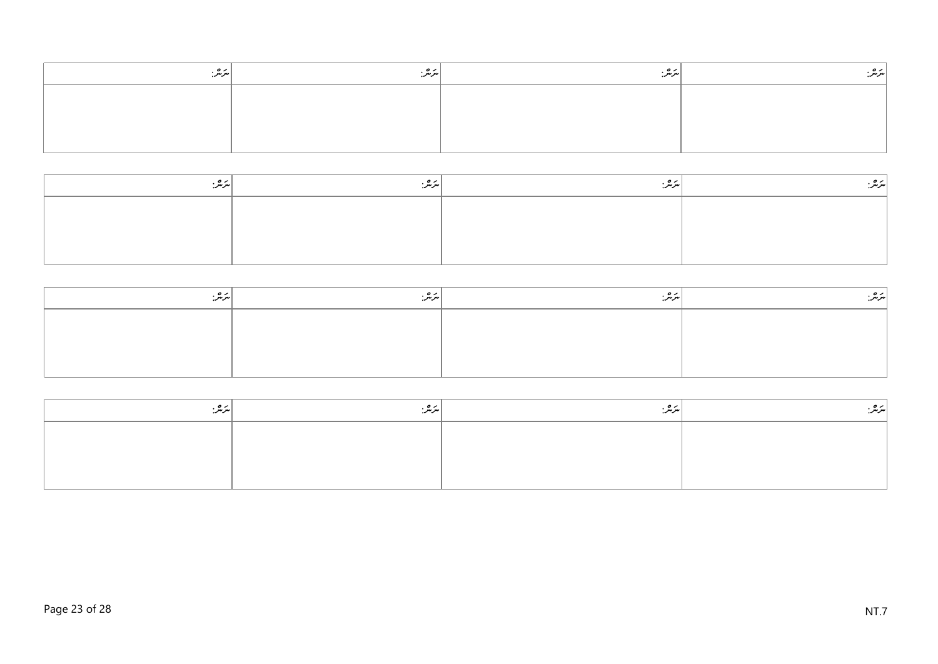| يره. | ο. | ا ير ه |  |
|------|----|--------|--|
|      |    |        |  |
|      |    |        |  |
|      |    |        |  |

| <sup>.</sup> سرسر. |  |
|--------------------|--|
|                    |  |
|                    |  |
|                    |  |

| ىئرىتر. | $\sim$ | ا بر هه. | لىرىش |
|---------|--------|----------|-------|
|         |        |          |       |
|         |        |          |       |
|         |        |          |       |

| 。<br>مرس. | $\overline{\phantom{a}}$<br>مر مىر | يتريثر |
|-----------|------------------------------------|--------|
|           |                                    |        |
|           |                                    |        |
|           |                                    |        |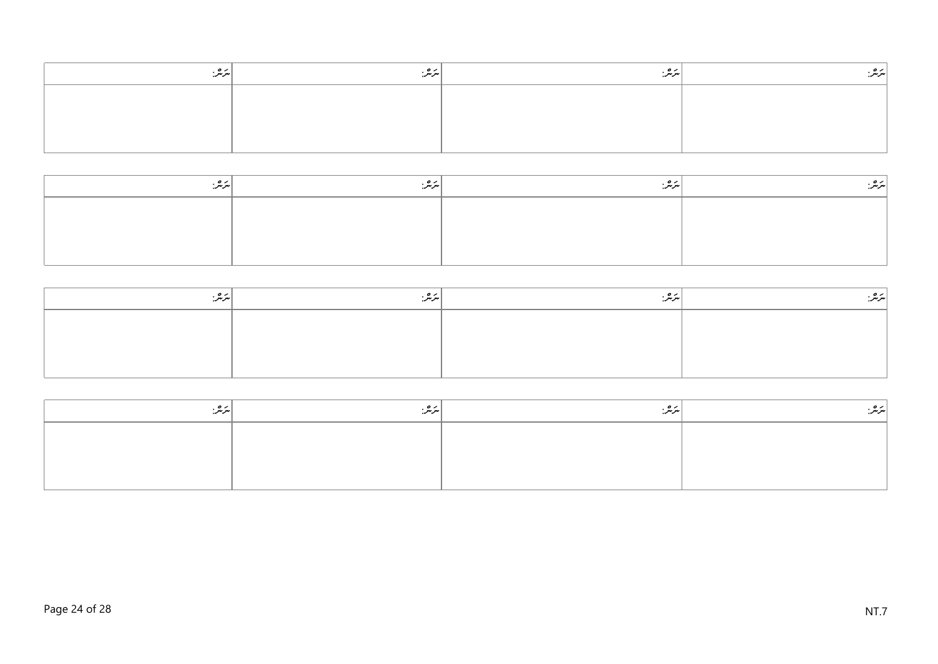| ير هو . | $\overline{\phantom{a}}$ | يرمر | اير هنه. |
|---------|--------------------------|------|----------|
|         |                          |      |          |
|         |                          |      |          |
|         |                          |      |          |

| ئىرتىر: | $\sim$<br>ا سرسر . | يئرمثر | o . |
|---------|--------------------|--------|-----|
|         |                    |        |     |
|         |                    |        |     |
|         |                    |        |     |

| انترنثر: | ر ه |  |
|----------|-----|--|
|          |     |  |
|          |     |  |
|          |     |  |

|  | . ه |
|--|-----|
|  |     |
|  |     |
|  |     |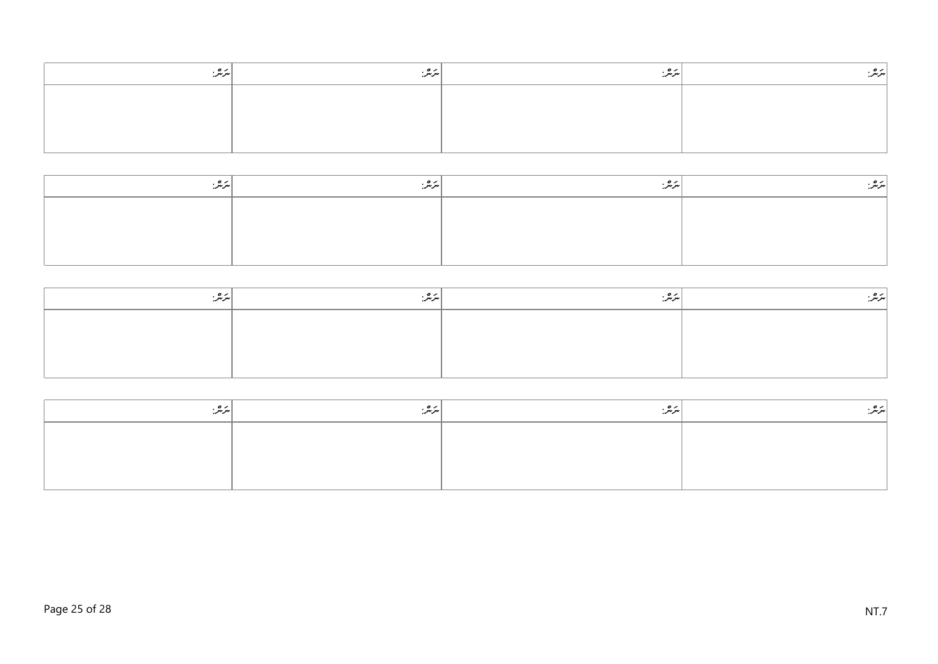| ير هو . | $\overline{\phantom{a}}$ | يرمر | اير هنه. |
|---------|--------------------------|------|----------|
|         |                          |      |          |
|         |                          |      |          |
|         |                          |      |          |

| ئىرتىر: | $\sim$<br>ا سرسر . | يئرمثر | o . |
|---------|--------------------|--------|-----|
|         |                    |        |     |
|         |                    |        |     |
|         |                    |        |     |

| انترنثر: | ر ه |  |
|----------|-----|--|
|          |     |  |
|          |     |  |
|          |     |  |

|  | . ه |
|--|-----|
|  |     |
|  |     |
|  |     |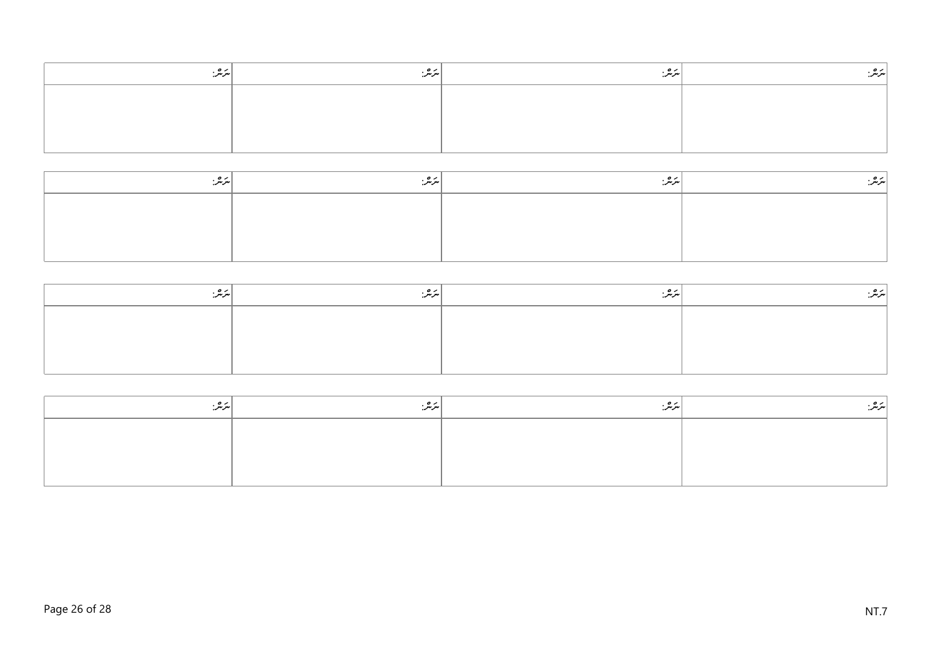| $\cdot$ | ο. | $\frac{\circ}{\cdot}$ | $\sim$<br>سرسر |
|---------|----|-----------------------|----------------|
|         |    |                       |                |
|         |    |                       |                |
|         |    |                       |                |

| يريثن | ' سرسر . |  |
|-------|----------|--|
|       |          |  |
|       |          |  |
|       |          |  |

| بر ه | 。 | $\sim$<br>َ سومس |  |
|------|---|------------------|--|
|      |   |                  |  |
|      |   |                  |  |
|      |   |                  |  |

| 。<br>. س | ىرىىر |  |
|----------|-------|--|
|          |       |  |
|          |       |  |
|          |       |  |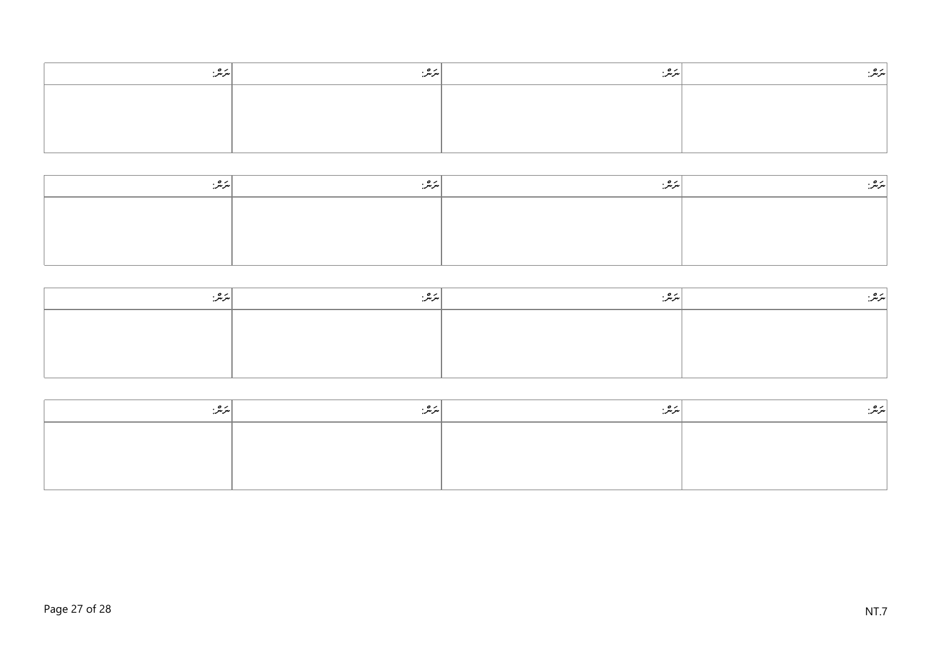| ير هو . | $\overline{\phantom{a}}$ | يرمر | لتزمثن |
|---------|--------------------------|------|--------|
|         |                          |      |        |
|         |                          |      |        |
|         |                          |      |        |

| ىر تىر: | $\circ$ $\sim$<br>" سرسر . | يبرحه | o . |
|---------|----------------------------|-------|-----|
|         |                            |       |     |
|         |                            |       |     |
|         |                            |       |     |

| نتزيتر به | 。 | 。<br>سرسر. | o <i>~</i> |
|-----------|---|------------|------------|
|           |   |            |            |
|           |   |            |            |
|           |   |            |            |

|  | . ه |
|--|-----|
|  |     |
|  |     |
|  |     |